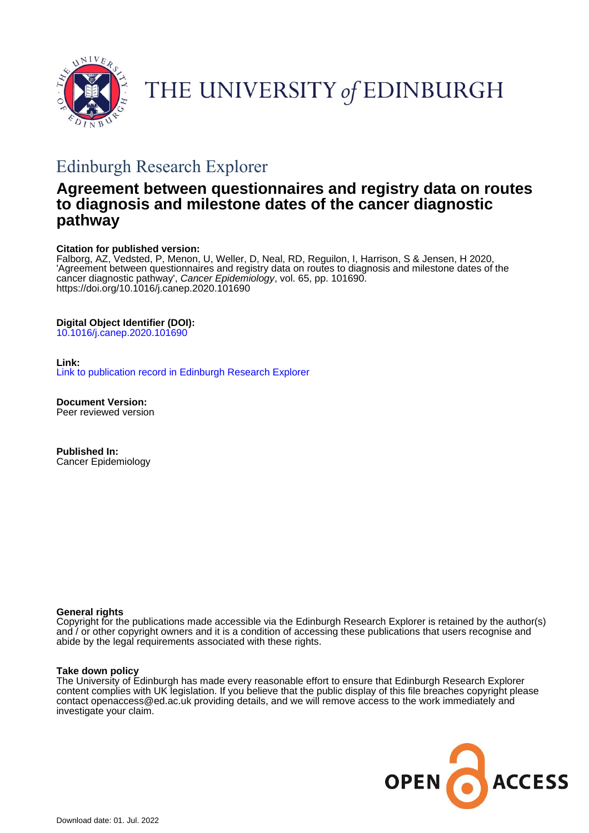

THE UNIVERSITY of EDINBURGH

# Edinburgh Research Explorer

## **Agreement between questionnaires and registry data on routes to diagnosis and milestone dates of the cancer diagnostic pathway**

## **Citation for published version:**

Falborg, AZ, Vedsted, P, Menon, U, Weller, D, Neal, RD, Reguilon, I, Harrison, S & Jensen, H 2020, 'Agreement between questionnaires and registry data on routes to diagnosis and milestone dates of the cancer diagnostic pathway', Cancer Epidemiology, vol. 65, pp. 101690. <https://doi.org/10.1016/j.canep.2020.101690>

## **Digital Object Identifier (DOI):**

[10.1016/j.canep.2020.101690](https://doi.org/10.1016/j.canep.2020.101690)

## **Link:**

[Link to publication record in Edinburgh Research Explorer](https://www.research.ed.ac.uk/en/publications/52f9b63c-715b-42dc-9987-e9c76e79a2fa)

**Document Version:** Peer reviewed version

**Published In:** Cancer Epidemiology

#### **General rights**

Copyright for the publications made accessible via the Edinburgh Research Explorer is retained by the author(s) and / or other copyright owners and it is a condition of accessing these publications that users recognise and abide by the legal requirements associated with these rights.

#### **Take down policy**

The University of Edinburgh has made every reasonable effort to ensure that Edinburgh Research Explorer content complies with UK legislation. If you believe that the public display of this file breaches copyright please contact openaccess@ed.ac.uk providing details, and we will remove access to the work immediately and investigate your claim.

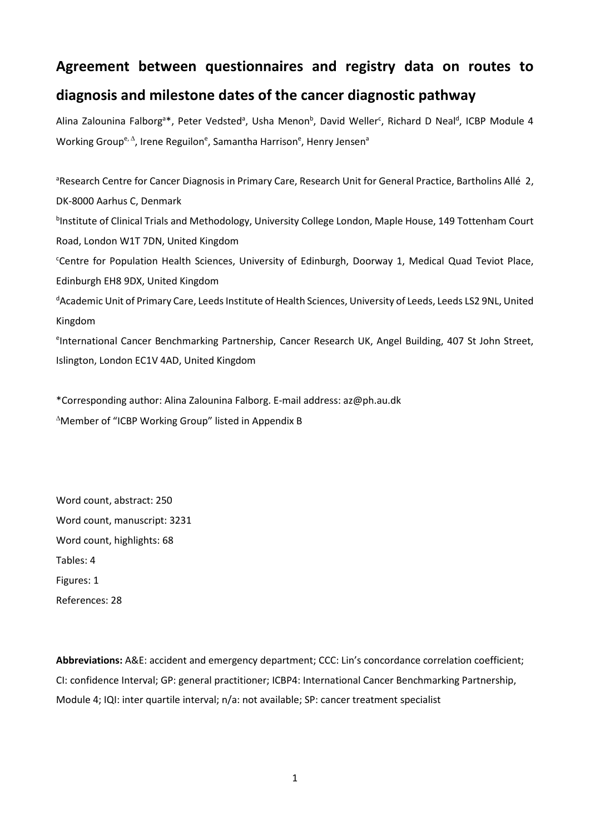## **Agreement between questionnaires and registry data on routes to**

## **diagnosis and milestone dates of the cancer diagnostic pathway**

Alina Zalounina Falborg<sup>a\*</sup>, Peter Vedsted<sup>a</sup>, Usha Menon<sup>b</sup>, David Weller<sup>c</sup>, Richard D Neal<sup>d</sup>, ICBP Module 4 Working Group<sup>e, ∆</sup>, Irene Reguilon<sup>e</sup>, Samantha Harrison<sup>e</sup>, Henry Jensen<sup>a</sup>

<sup>a</sup>Research Centre for Cancer Diagnosis in Primary Care, Research Unit for General Practice, Bartholins Allé 2, DK-8000 Aarhus C, Denmark <sup>b</sup>Institute of Clinical Trials and Methodology, University College London, Maple House, 149 Tottenham Court Road, London W1T 7DN, United Kingdom Centre for Population Health Sciences, University of Edinburgh, Doorway 1, Medical Quad Teviot Place, Edinburgh EH8 9DX, United Kingdom d Academic Unit of Primary Care, Leeds Institute of Health Sciences, University of Leeds, Leeds LS2 9NL, United Kingdom e International Cancer Benchmarking Partnership, Cancer Research UK, Angel Building, 407 St John Street, Islington, London EC1V 4AD, United Kingdom

\*Corresponding author: Alina Zalounina Falborg. E-mail address: az@ph.au.dk <sup>∆</sup>Member of "ICBP Working Group" listed in Appendix B

Word count, abstract: 250 Word count, manuscript: 3231 Word count, highlights: 68 Tables: 4 Figures: 1 References: 28

**Abbreviations:** A&E: accident and emergency department; CCC: Lin's concordance correlation coefficient; CI: confidence Interval; GP: general practitioner; ICBP4: International Cancer Benchmarking Partnership, Module 4; IQI: inter quartile interval; n/a: not available; SP: cancer treatment specialist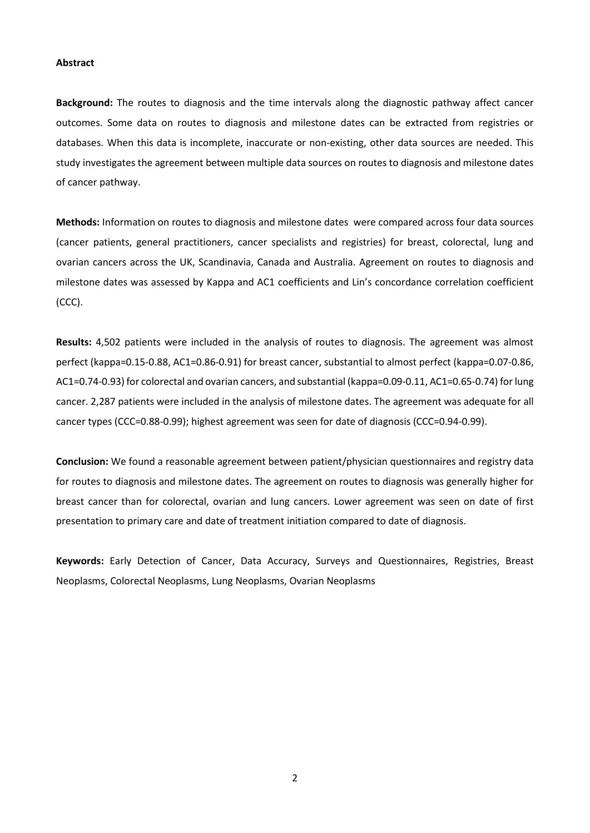#### **Abstract**

**Background:** The routes to diagnosis and the time intervals along the diagnostic pathway affect cancer outcomes. Some data on routes to diagnosis and milestone dates can be extracted from registries or databases. When this data is incomplete, inaccurate or non-existing, other data sources are needed. This study investigates the agreement between multiple data sources on routes to diagnosis and milestone dates of cancer pathway.

**Methods:** Information on routes to diagnosis and milestone dates were compared across four data sources (cancer patients, general practitioners, cancer specialists and registries) for breast, colorectal, lung and ovarian cancers across the UK, Scandinavia, Canada and Australia. Agreement on routes to diagnosis and milestone dates was assessed by Kappa and AC1 coefficients and Lin's concordance correlation coefficient (CCC).

**Results:** 4,502 patients were included in the analysis of routes to diagnosis. The agreement was almost perfect (kappa=0.15-0.88, AC1=0.86-0.91) for breast cancer, substantial to almost perfect (kappa=0.07-0.86, AC1=0.74-0.93) for colorectal and ovarian cancers, and substantial (kappa=0.09-0.11, AC1=0.65-0.74) for lung cancer. 2,287 patients were included in the analysis of milestone dates. The agreement was adequate for all cancer types (CCC=0.88-0.99); highest agreement was seen for date of diagnosis (CCC=0.94-0.99).

**Conclusion:** We found a reasonable agreement between patient/physician questionnaires and registry data for routes to diagnosis and milestone dates. The agreement on routes to diagnosis was generally higher for breast cancer than for colorectal, ovarian and lung cancers. Lower agreement was seen on date of first presentation to primary care and date of treatment initiation compared to date of diagnosis.

**Keywords:** Early Detection of Cancer, Data Accuracy, Surveys and Questionnaires, Registries, Breast Neoplasms, Colorectal Neoplasms, Lung Neoplasms, Ovarian Neoplasms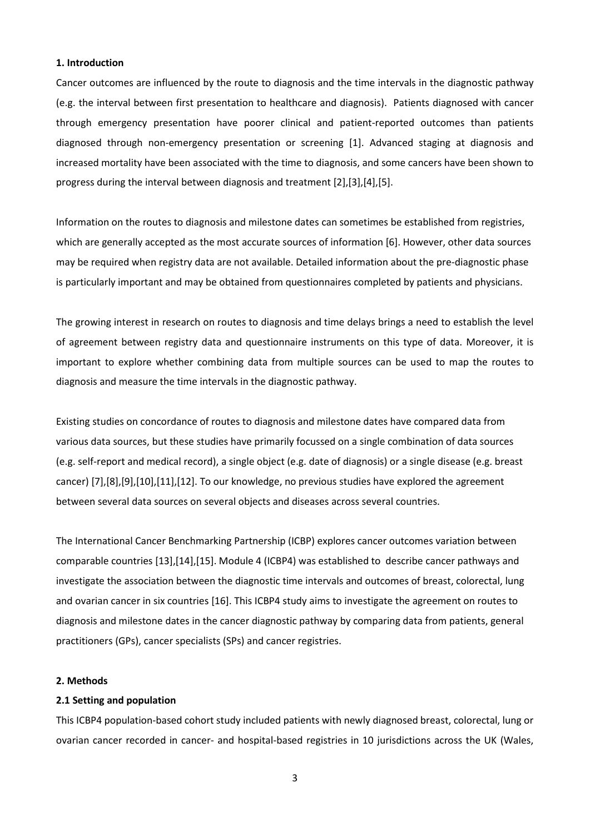#### **1. Introduction**

Cancer outcomes are influenced by the route to diagnosis and the time intervals in the diagnostic pathway (e.g. the interval between first presentation to healthcare and diagnosis). Patients diagnosed with cancer through emergency presentation have poorer clinical and patient-reported outcomes than patients diagnosed through non-emergency presentation or screening [1]. Advanced staging at diagnosis and increased mortality have been associated with the time to diagnosis, and some cancers have been shown to progress during the interval between diagnosis and treatment [2],[3],[4],[5].

Information on the routes to diagnosis and milestone dates can sometimes be established from registries, which are generally accepted as the most accurate sources of information [6]. However, other data sources may be required when registry data are not available. Detailed information about the pre-diagnostic phase is particularly important and may be obtained from questionnaires completed by patients and physicians.

The growing interest in research on routes to diagnosis and time delays brings a need to establish the level of agreement between registry data and questionnaire instruments on this type of data. Moreover, it is important to explore whether combining data from multiple sources can be used to map the routes to diagnosis and measure the time intervals in the diagnostic pathway.

Existing studies on concordance of routes to diagnosis and milestone dates have compared data from various data sources, but these studies have primarily focussed on a single combination of data sources (e.g. self-report and medical record), a single object (e.g. date of diagnosis) or a single disease (e.g. breast cancer) [7],[8],[9],[10],[11],[12]. To our knowledge, no previous studies have explored the agreement between several data sources on several objects and diseases across several countries.

The International Cancer Benchmarking Partnership (ICBP) explores cancer outcomes variation between comparable countries [13],[14],[15]. Module 4 (ICBP4) was established to describe cancer pathways and investigate the association between the diagnostic time intervals and outcomes of breast, colorectal, lung and ovarian cancer in six countries [16]. This ICBP4 study aims to investigate the agreement on routes to diagnosis and milestone dates in the cancer diagnostic pathway by comparing data from patients, general practitioners (GPs), cancer specialists (SPs) and cancer registries.

#### **2. Methods**

## **2.1 Setting and population**

This ICBP4 population-based cohort study included patients with newly diagnosed breast, colorectal, lung or ovarian cancer recorded in cancer- and hospital-based registries in 10 jurisdictions across the UK (Wales,

3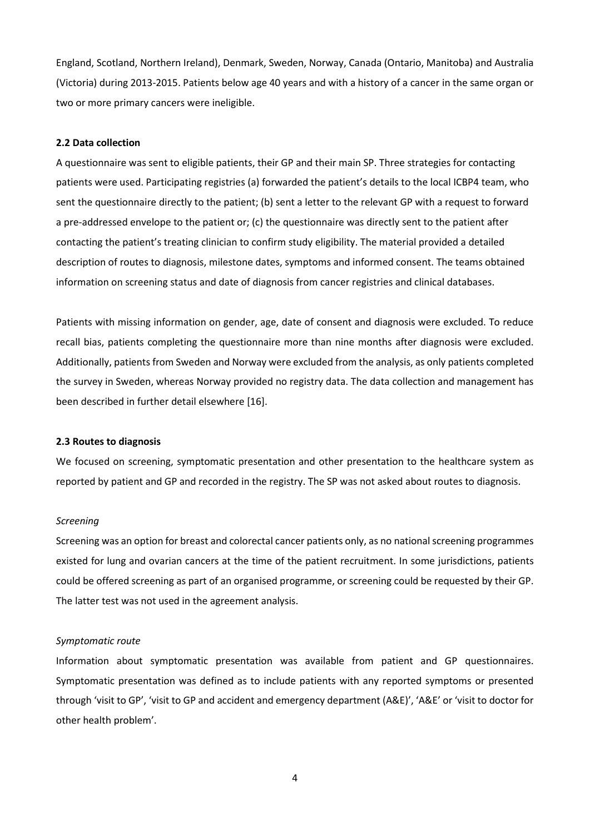England, Scotland, Northern Ireland), Denmark, Sweden, Norway, Canada (Ontario, Manitoba) and Australia (Victoria) during 2013-2015. Patients below age 40 years and with a history of a cancer in the same organ or two or more primary cancers were ineligible.

### **2.2 Data collection**

A questionnaire was sent to eligible patients, their GP and their main SP. Three strategies for contacting patients were used. Participating registries (a) forwarded the patient's details to the local ICBP4 team, who sent the questionnaire directly to the patient; (b) sent a letter to the relevant GP with a request to forward a pre-addressed envelope to the patient or; (c) the questionnaire was directly sent to the patient after contacting the patient's treating clinician to confirm study eligibility. The material provided a detailed description of routes to diagnosis, milestone dates, symptoms and informed consent. The teams obtained information on screening status and date of diagnosis from cancer registries and clinical databases.

Patients with missing information on gender, age, date of consent and diagnosis were excluded. To reduce recall bias, patients completing the questionnaire more than nine months after diagnosis were excluded. Additionally, patients from Sweden and Norway were excluded from the analysis, as only patients completed the survey in Sweden, whereas Norway provided no registry data. The data collection and management has been described in further detail elsewhere [16].

#### **2.3 Routes to diagnosis**

We focused on screening, symptomatic presentation and other presentation to the healthcare system as reported by patient and GP and recorded in the registry. The SP was not asked about routes to diagnosis.

#### *Screening*

Screening was an option for breast and colorectal cancer patients only, as no national screening programmes existed for lung and ovarian cancers at the time of the patient recruitment. In some jurisdictions, patients could be offered screening as part of an organised programme, or screening could be requested by their GP. The latter test was not used in the agreement analysis.

#### *Symptomatic route*

Information about symptomatic presentation was available from patient and GP questionnaires. Symptomatic presentation was defined as to include patients with any reported symptoms or presented through 'visit to GP', 'visit to GP and accident and emergency department (A&E)', 'A&E' or 'visit to doctor for other health problem'.

4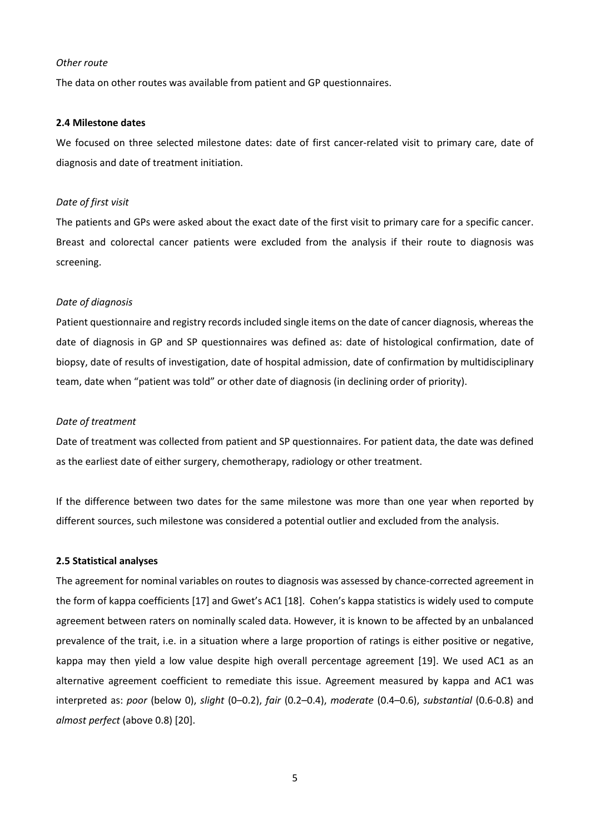#### *Other route*

The data on other routes was available from patient and GP questionnaires.

#### **2.4 Milestone dates**

We focused on three selected milestone dates: date of first cancer-related visit to primary care, date of diagnosis and date of treatment initiation.

#### *Date of first visit*

The patients and GPs were asked about the exact date of the first visit to primary care for a specific cancer. Breast and colorectal cancer patients were excluded from the analysis if their route to diagnosis was screening.

#### *Date of diagnosis*

Patient questionnaire and registry records included single items on the date of cancer diagnosis, whereas the date of diagnosis in GP and SP questionnaires was defined as: date of histological confirmation, date of biopsy, date of results of investigation, date of hospital admission, date of confirmation by multidisciplinary team, date when "patient was told" or other date of diagnosis (in declining order of priority).

#### *Date of treatment*

Date of treatment was collected from patient and SP questionnaires. For patient data, the date was defined as the earliest date of either surgery, chemotherapy, radiology or other treatment.

If the difference between two dates for the same milestone was more than one year when reported by different sources, such milestone was considered a potential outlier and excluded from the analysis.

#### **2.5 Statistical analyses**

The agreement for nominal variables on routes to diagnosis was assessed by chance-corrected agreement in the form of kappa coefficients [17] and Gwet's AC1 [18]. Cohen's kappa statistics is widely used to compute agreement between raters on nominally scaled data. However, it is known to be affected by an unbalanced prevalence of the trait, i.e. in a situation where a large proportion of ratings is either positive or negative, kappa may then yield a low value despite high overall percentage agreement [19]. We used AC1 as an alternative agreement coefficient to remediate this issue. Agreement measured by kappa and AC1 was interpreted as: *poor* (below 0), *slight* (0–0.2), *fair* (0.2–0.4), *moderate* (0.4–0.6), *substantial* (0.6-0.8) and *almost perfect* (above 0.8) [20].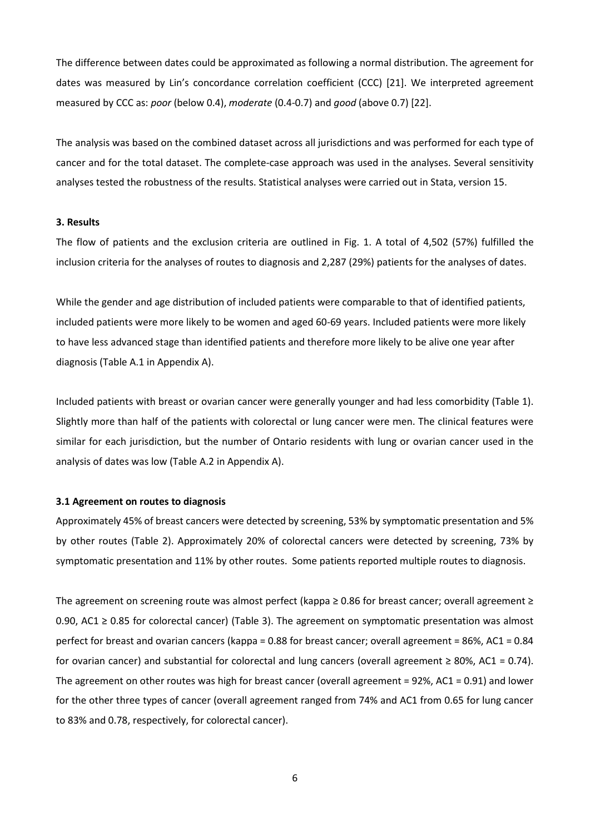The difference between dates could be approximated as following a normal distribution. The agreement for dates was measured by Lin's concordance correlation coefficient (CCC) [21]. We interpreted agreement measured by CCC as: *poor* (below 0.4), *moderate* (0.4-0.7) and *good* (above 0.7) [22].

The analysis was based on the combined dataset across all jurisdictions and was performed for each type of cancer and for the total dataset. The complete-case approach was used in the analyses. Several sensitivity analyses tested the robustness of the results. Statistical analyses were carried out in Stata, version 15.

## **3. Results**

The flow of patients and the exclusion criteria are outlined in Fig. 1. A total of 4,502 (57%) fulfilled the inclusion criteria for the analyses of routes to diagnosis and 2,287 (29%) patients for the analyses of dates.

While the gender and age distribution of included patients were comparable to that of identified patients, included patients were more likely to be women and aged 60-69 years. Included patients were more likely to have less advanced stage than identified patients and therefore more likely to be alive one year after diagnosis (Table A.1 in Appendix A).

Included patients with breast or ovarian cancer were generally younger and had less comorbidity (Table 1). Slightly more than half of the patients with colorectal or lung cancer were men. The clinical features were similar for each jurisdiction, but the number of Ontario residents with lung or ovarian cancer used in the analysis of dates was low (Table A.2 in Appendix A).

#### **3.1 Agreement on routes to diagnosis**

Approximately 45% of breast cancers were detected by screening, 53% by symptomatic presentation and 5% by other routes (Table 2). Approximately 20% of colorectal cancers were detected by screening, 73% by symptomatic presentation and 11% by other routes. Some patients reported multiple routes to diagnosis.

The agreement on screening route was almost perfect (kappa ≥ 0.86 for breast cancer; overall agreement ≥ 0.90, AC1 ≥ 0.85 for colorectal cancer) (Table 3). The agreement on symptomatic presentation was almost perfect for breast and ovarian cancers (kappa = 0.88 for breast cancer; overall agreement = 86%, AC1 = 0.84 for ovarian cancer) and substantial for colorectal and lung cancers (overall agreement  $\geq 80\%$ , AC1 = 0.74). The agreement on other routes was high for breast cancer (overall agreement = 92%, AC1 = 0.91) and lower for the other three types of cancer (overall agreement ranged from 74% and AC1 from 0.65 for lung cancer to 83% and 0.78, respectively, for colorectal cancer).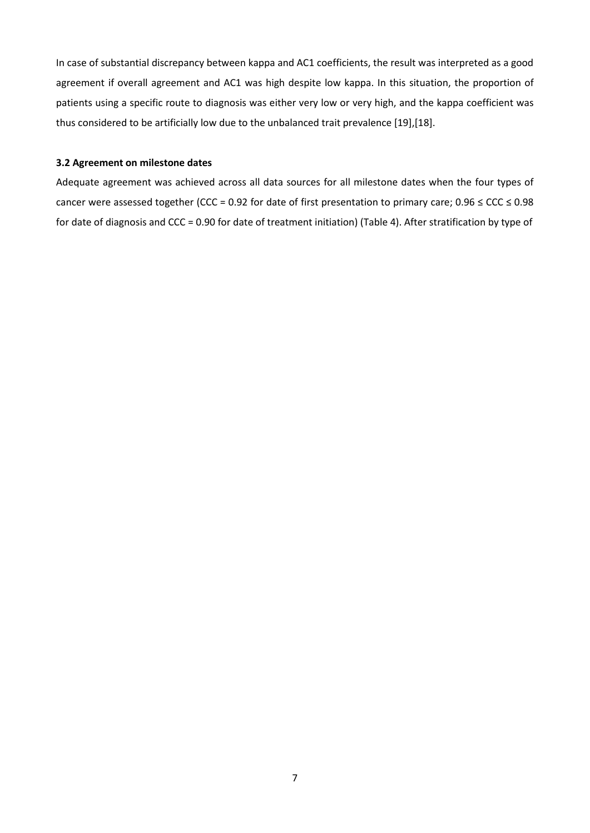In case of substantial discrepancy between kappa and AC1 coefficients, the result was interpreted as a good agreement if overall agreement and AC1 was high despite low kappa. In this situation, the proportion of patients using a specific route to diagnosis was either very low or very high, and the kappa coefficient was thus considered to be artificially low due to the unbalanced trait prevalence [19],[18].

## **3.2 Agreement on milestone dates**

Adequate agreement was achieved across all data sources for all milestone dates when the four types of cancer were assessed together (CCC = 0.92 for date of first presentation to primary care; 0.96 ≤ CCC ≤ 0.98 for date of diagnosis and CCC = 0.90 for date of treatment initiation) (Table 4). After stratification by type of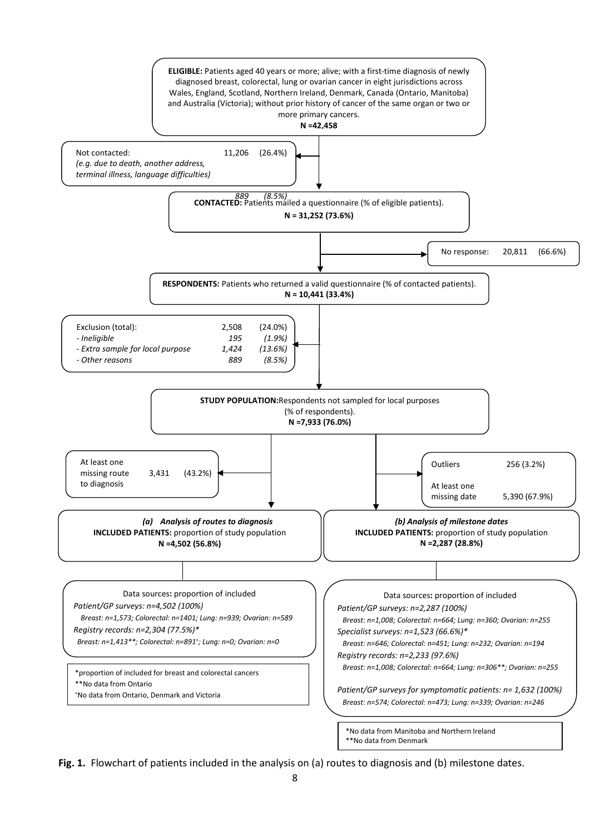

**Fig. 1.** Flowchart of patients included in the analysis on (a) routes to diagnosis and (b) milestone dates.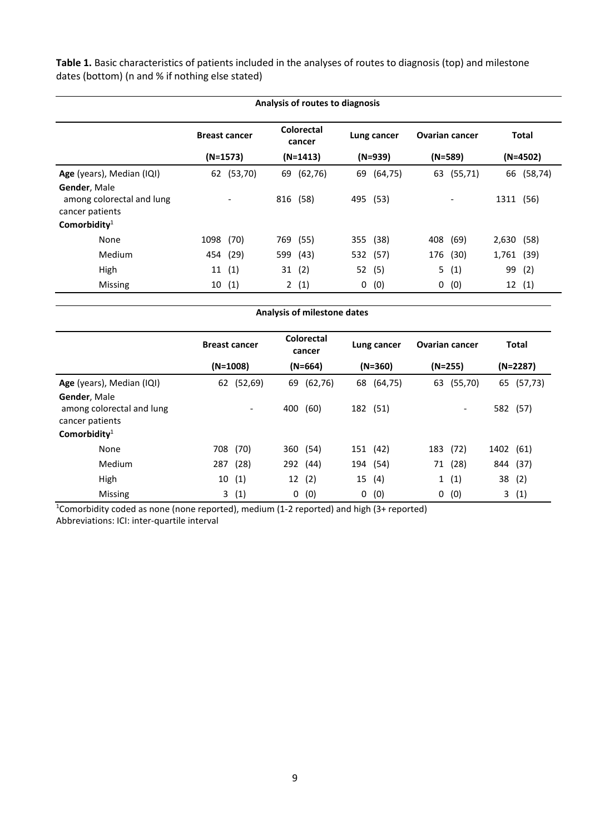**Table 1.** Basic characteristics of patients included in the analyses of routes to diagnosis (top) and milestone dates (bottom) (n and % if nothing else stated)

| Analysis of routes to diagnosis                              |                      |          |     |                      |             |           |                       |                          |            |              |
|--------------------------------------------------------------|----------------------|----------|-----|----------------------|-------------|-----------|-----------------------|--------------------------|------------|--------------|
|                                                              | <b>Breast cancer</b> |          |     | Colorectal<br>cancer | Lung cancer |           | <b>Ovarian cancer</b> |                          |            | <b>Total</b> |
|                                                              | $(N=1573)$           |          |     | $(N=1413)$           |             | $(N=939)$ |                       | $(N=589)$                |            | $(N=4502)$   |
| Age (years), Median (IQI)                                    | 62                   | (53, 70) |     | 69 (62,76)           | 69          | (64, 75)  | 63                    | (55, 71)                 |            | 66 (58,74)   |
| Gender, Male<br>among colorectal and lung<br>cancer patients |                      |          | 816 | (58)                 | 495         | (53)      |                       | $\overline{\phantom{a}}$ | 1311       | (56)         |
| Comorbidity $1$                                              |                      |          |     |                      |             |           |                       |                          |            |              |
| None                                                         | 1098                 | (70)     | 769 | (55)                 | 355         | (38)      | 408                   | (69)                     | 2,630      | (58)         |
| <b>Medium</b>                                                |                      | 454 (29) |     | 599 (43)             |             | 532 (57)  | 176                   | (30)                     | 1,761 (39) |              |
| High                                                         | 11                   | (1)      | 31  | (2)                  | 52          | (5)       | 5                     | (1)                      | 99         | (2)          |
| Missing                                                      |                      | 10(1)    |     | 2(1)                 | 0           | (0)       | 0                     | (0)                      |            | 12(1)        |

| Analysis of milestone dates                                                     |                      |                          |     |                             |             |            |                       |                          |              |            |
|---------------------------------------------------------------------------------|----------------------|--------------------------|-----|-----------------------------|-------------|------------|-----------------------|--------------------------|--------------|------------|
|                                                                                 | <b>Breast cancer</b> |                          |     | <b>Colorectal</b><br>cancer | Lung cancer |            | <b>Ovarian cancer</b> |                          | <b>Total</b> |            |
|                                                                                 | (N=1008)             |                          |     | $(N=664)$                   |             | $(N=360)$  |                       | $(N=255)$                |              | $(N=2287)$ |
| Age (years), Median (IQI)                                                       |                      | 62 (52,69)               |     | 69 (62,76)                  |             | 68 (64,75) |                       | 63 (55,70)               |              | 65 (57,73) |
| Gender, Male<br>among colorectal and lung<br>cancer patients<br>Comorbidity $1$ |                      | $\overline{\phantom{a}}$ | 400 | (60)                        |             | 182 (51)   |                       | $\overline{\phantom{a}}$ |              | 582 (57)   |
| None                                                                            | 708                  | (70)                     |     | 360 (54)                    |             | 151 (42)   |                       | 183 (72)                 | 1402 (61)    |            |
| Medium                                                                          | 287                  | (28)                     |     | 292 (44)                    |             | 194 (54)   |                       | 71 (28)                  |              | 844 (37)   |
| High                                                                            | 10                   | (1)                      |     | 12(2)                       |             | 15 (4)     |                       | 1(1)                     | 38           | (2)        |
| Missing                                                                         |                      | 3(1)                     | 0   | (0)                         | 0           | (0)        | 0                     | (0)                      | 3            | (1)        |

<sup>1</sup>Comorbidity coded as none (none reported), medium (1-2 reported) and high (3+ reported)

Abbreviations: ICI: inter-quartile interval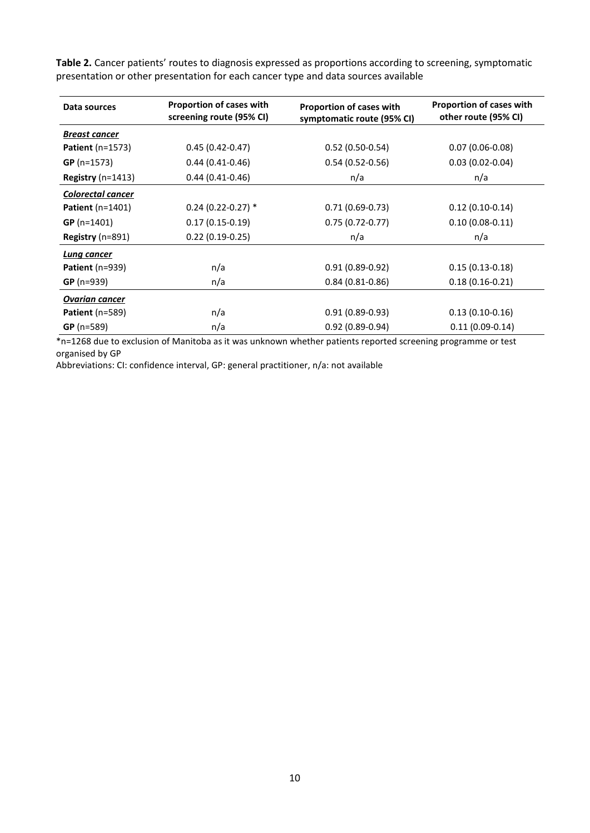| Data sources           | Proportion of cases with<br>screening route (95% CI) | Proportion of cases with<br>symptomatic route (95% CI) | <b>Proportion of cases with</b><br>other route (95% CI) |
|------------------------|------------------------------------------------------|--------------------------------------------------------|---------------------------------------------------------|
| <b>Breast cancer</b>   |                                                      |                                                        |                                                         |
| Patient $(n=1573)$     | $0.45(0.42 - 0.47)$                                  | $0.52(0.50-0.54)$                                      | $0.07(0.06 - 0.08)$                                     |
| $GP (n=1573)$          | $0.44(0.41-0.46)$                                    | $0.54(0.52-0.56)$                                      | $0.03(0.02-0.04)$                                       |
| Registry ( $n=1413$ )  | $0.44(0.41-0.46)$                                    | n/a                                                    | n/a                                                     |
| Colorectal cancer      |                                                      |                                                        |                                                         |
| Patient $(n=1401)$     | $0.24$ (0.22-0.27) $*$                               | $0.71(0.69-0.73)$                                      | $0.12(0.10-0.14)$                                       |
| $GP (n=1401)$          | $0.17(0.15-0.19)$                                    | $0.75(0.72-0.77)$                                      | $0.10(0.08-0.11)$                                       |
| Registry (n=891)       | $0.22(0.19-0.25)$                                    | n/a                                                    | n/a                                                     |
| Lung cancer            |                                                      |                                                        |                                                         |
| <b>Patient</b> (n=939) | n/a                                                  | $0.91(0.89-0.92)$                                      | $0.15(0.13-0.18)$                                       |
| $GP (n=939)$           | n/a                                                  | $0.84(0.81 - 0.86)$                                    | $0.18(0.16 - 0.21)$                                     |
| <b>Ovarian cancer</b>  |                                                      |                                                        |                                                         |
| Patient $(n=589)$      | n/a                                                  | $0.91(0.89 - 0.93)$                                    | $0.13(0.10-0.16)$                                       |
| $GP (n=589)$           | n/a                                                  | $0.92(0.89 - 0.94)$                                    | $0.11(0.09-0.14)$                                       |

**Table 2.** Cancer patients' routes to diagnosis expressed as proportions according to screening, symptomatic presentation or other presentation for each cancer type and data sources available

\*n=1268 due to exclusion of Manitoba as it was unknown whether patients reported screening programme or test organised by GP

Abbreviations: CI: confidence interval, GP: general practitioner, n/a: not available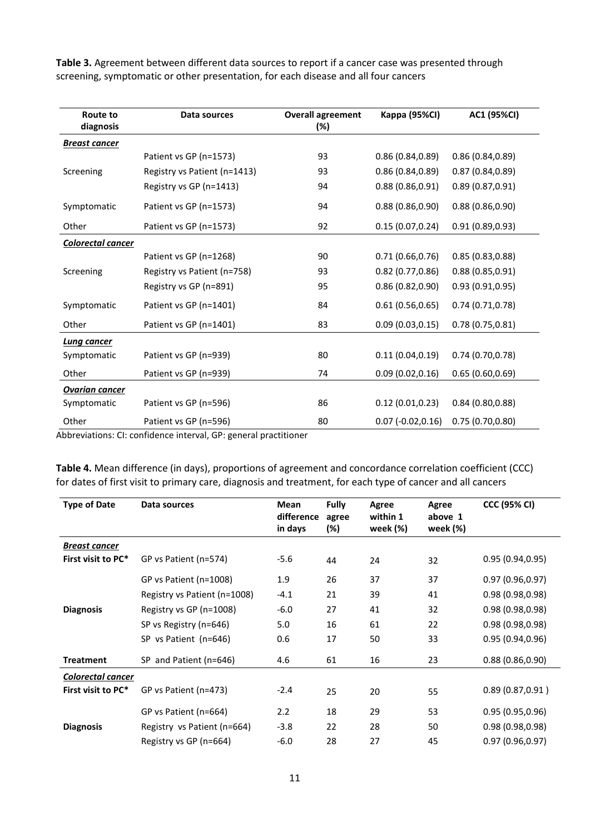**Table 3.** Agreement between different data sources to report if a cancer case was presented through screening, symptomatic or other presentation, for each disease and all four cancers

| Route to<br>diagnosis | Data sources                 | <b>Overall agreement</b><br>(%) | Kappa (95%CI)        | AC1 (95%CI)      |
|-----------------------|------------------------------|---------------------------------|----------------------|------------------|
| <b>Breast cancer</b>  |                              |                                 |                      |                  |
|                       | Patient vs GP (n=1573)       | 93                              | 0.86(0.84, 0.89)     | 0.86(0.84, 0.89) |
| Screening             | Registry vs Patient (n=1413) | 93                              | 0.86(0.84, 0.89)     | 0.87(0.84, 0.89) |
|                       | Registry vs GP (n=1413)      | 94                              | 0.88(0.86, 0.91)     | 0.89(0.87, 0.91) |
| Symptomatic           | Patient vs GP (n=1573)       | 94                              | 0.88(0.86, 0.90)     | 0.88(0.86, 0.90) |
| Other                 | Patient vs GP (n=1573)       | 92                              | 0.15(0.07, 0.24)     | 0.91(0.89, 0.93) |
| Colorectal cancer     |                              |                                 |                      |                  |
|                       | Patient vs GP (n=1268)       | 90                              | 0.71(0.66, 0.76)     | 0.85(0.83, 0.88) |
| Screening             | Registry vs Patient (n=758)  | 93                              | 0.82(0.77, 0.86)     | 0.88(0.85, 0.91) |
|                       | Registry vs GP (n=891)       | 95                              | 0.86(0.82, 0.90)     | 0.93(0.91, 0.95) |
| Symptomatic           | Patient vs GP (n=1401)       | 84                              | 0.61(0.56, 0.65)     | 0.74(0.71, 0.78) |
| Other                 | Patient vs GP (n=1401)       | 83                              | 0.09(0.03, 0.15)     | 0.78(0.75, 0.81) |
| Lung cancer           |                              |                                 |                      |                  |
| Symptomatic           | Patient vs GP (n=939)        | 80                              | 0.11(0.04, 0.19)     | 0.74(0.70, 0.78) |
| Other                 | Patient vs GP (n=939)        | 74                              | 0.09(0.02, 0.16)     | 0.65(0.60, 0.69) |
| <b>Ovarian cancer</b> |                              |                                 |                      |                  |
| Symptomatic           | Patient vs GP (n=596)        | 86                              | 0.12(0.01, 0.23)     | 0.84(0.80, 0.88) |
| Other                 | Patient vs GP (n=596)        | 80                              | $0.07 (-0.02, 0.16)$ | 0.75(0.70, 0.80) |

Abbreviations: CI: confidence interval, GP: general practitioner

**Table 4.** Mean difference (in days), proportions of agreement and concordance correlation coefficient (CCC) for dates of first visit to primary care, diagnosis and treatment, for each type of cancer and all cancers

| <b>Type of Date</b> | Data sources                 | Mean<br>difference | <b>Fully</b><br>agree | Agree<br>within 1 | Agree<br>above 1 | <b>CCC (95% CI)</b> |
|---------------------|------------------------------|--------------------|-----------------------|-------------------|------------------|---------------------|
|                     |                              | in days            | (%)                   | week (%)          | week (%)         |                     |
| Breast cancer       |                              |                    |                       |                   |                  |                     |
| First visit to PC*  | GP vs Patient (n=574)        | $-5.6$             | 44                    | 24                | 32               | 0.95(0.94, 0.95)    |
|                     | GP vs Patient (n=1008)       | 1.9                | 26                    | 37                | 37               | 0.97(0.96, 0.97)    |
|                     | Registry vs Patient (n=1008) | $-4.1$             | 21                    | 39                | 41               | 0.98(0.98, 0.98)    |
| <b>Diagnosis</b>    | Registry vs GP (n=1008)      | $-6.0$             | 27                    | 41                | 32               | 0.98(0.98, 0.98)    |
|                     | SP vs Registry (n=646)       | 5.0                | 16                    | 61                | 22               | 0.98(0.98, 0.98)    |
|                     | SP vs Patient (n=646)        | 0.6                | 17                    | 50                | 33               | 0.95(0.94, 0.96)    |
| <b>Treatment</b>    | SP and Patient (n=646)       | 4.6                | 61                    | 16                | 23               | 0.88(0.86, 0.90)    |
| Colorectal cancer   |                              |                    |                       |                   |                  |                     |
| First visit to PC*  | GP vs Patient (n=473)        | $-2.4$             | 25                    | 20                | 55               | 0.89(0.87, 0.91)    |
|                     | GP vs Patient (n=664)        | 2.2                | 18                    | 29                | 53               | 0.95(0.95, 0.96)    |
| <b>Diagnosis</b>    | Registry vs Patient (n=664)  | $-3.8$             | 22                    | 28                | 50               | 0.98(0.98, 0.98)    |
|                     | Registry vs GP (n=664)       | $-6.0$             | 28                    | 27                | 45               | 0.97(0.96, 0.97)    |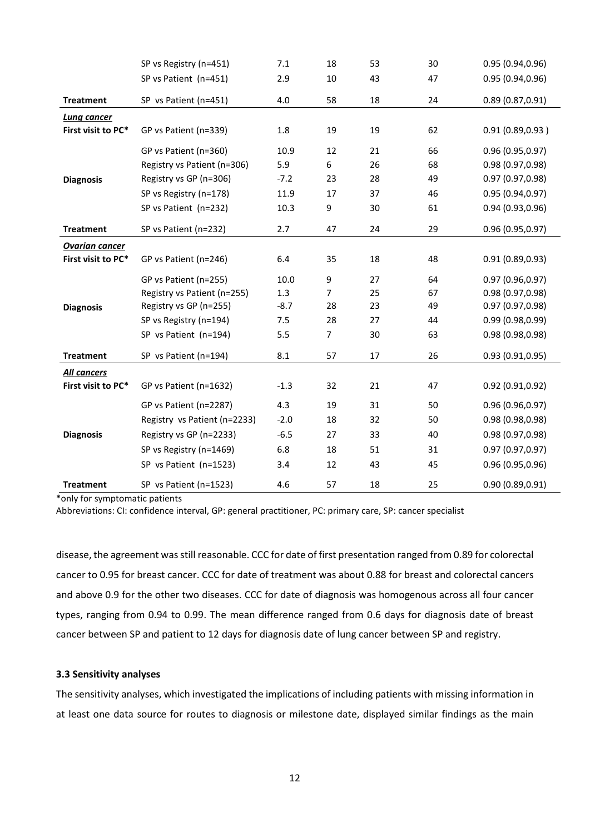|                       | SP vs Registry (n=451)       | 7.1    | 18             | 53 | 30 | 0.95(0.94, 0.96) |
|-----------------------|------------------------------|--------|----------------|----|----|------------------|
|                       | SP vs Patient (n=451)        | 2.9    | 10             | 43 | 47 | 0.95(0.94, 0.96) |
| <b>Treatment</b>      | SP vs Patient (n=451)        | 4.0    | 58             | 18 | 24 | 0.89(0.87, 0.91) |
| <b>Lung cancer</b>    |                              |        |                |    |    |                  |
| First visit to PC*    | GP vs Patient (n=339)        | 1.8    | 19             | 19 | 62 | 0.91(0.89, 0.93) |
|                       | GP vs Patient (n=360)        | 10.9   | 12             | 21 | 66 | 0.96(0.95, 0.97) |
|                       | Registry vs Patient (n=306)  | 5.9    | 6              | 26 | 68 | 0.98 (0.97,0.98) |
| <b>Diagnosis</b>      | Registry vs GP (n=306)       | $-7.2$ | 23             | 28 | 49 | 0.97(0.97, 0.98) |
|                       | SP vs Registry (n=178)       | 11.9   | 17             | 37 | 46 | 0.95(0.94, 0.97) |
|                       | SP vs Patient (n=232)        | 10.3   | 9              | 30 | 61 | 0.94(0.93, 0.96) |
| <b>Treatment</b>      | SP vs Patient (n=232)        | 2.7    | 47             | 24 | 29 | 0.96(0.95, 0.97) |
| <b>Ovarian cancer</b> |                              |        |                |    |    |                  |
| First visit to PC*    | GP vs Patient (n=246)        | 6.4    | 35             | 18 | 48 | 0.91(0.89, 0.93) |
|                       | GP vs Patient (n=255)        | 10.0   | 9              | 27 | 64 | 0.97(0.96, 0.97) |
|                       | Registry vs Patient (n=255)  | 1.3    | 7              | 25 | 67 | 0.98 (0.97,0.98) |
| <b>Diagnosis</b>      | Registry vs GP (n=255)       | $-8.7$ | 28             | 23 | 49 | 0.97(0.97, 0.98) |
|                       | SP vs Registry (n=194)       | 7.5    | 28             | 27 | 44 | 0.99(0.98, 0.99) |
|                       | SP vs Patient (n=194)        | 5.5    | $\overline{7}$ | 30 | 63 | 0.98 (0.98,0.98) |
| <b>Treatment</b>      | SP vs Patient (n=194)        | 8.1    | 57             | 17 | 26 | 0.93(0.91, 0.95) |
| All cancers           |                              |        |                |    |    |                  |
| First visit to PC*    | GP vs Patient (n=1632)       | $-1.3$ | 32             | 21 | 47 | 0.92(0.91, 0.92) |
|                       | GP vs Patient (n=2287)       | 4.3    | 19             | 31 | 50 | 0.96(0.96, 0.97) |
|                       | Registry vs Patient (n=2233) | $-2.0$ | 18             | 32 | 50 | 0.98(0.98, 0.98) |
| <b>Diagnosis</b>      | Registry vs GP (n=2233)      | $-6.5$ | 27             | 33 | 40 | 0.98 (0.97,0.98) |
|                       | SP vs Registry (n=1469)      | 6.8    | 18             | 51 | 31 | 0.97(0.97, 0.97) |
|                       | SP vs Patient (n=1523)       | 3.4    | 12             | 43 | 45 | 0.96 (0.95,0.96) |
| <b>Treatment</b>      | SP vs Patient (n=1523)       | 4.6    | 57             | 18 | 25 | 0.90(0.89, 0.91) |

\*only for symptomatic patients

Abbreviations: CI: confidence interval, GP: general practitioner, PC: primary care, SP: cancer specialist

disease, the agreement was still reasonable. CCC for date of first presentation ranged from 0.89 for colorectal cancer to 0.95 for breast cancer. CCC for date of treatment was about 0.88 for breast and colorectal cancers and above 0.9 for the other two diseases. CCC for date of diagnosis was homogenous across all four cancer types, ranging from 0.94 to 0.99. The mean difference ranged from 0.6 days for diagnosis date of breast cancer between SP and patient to 12 days for diagnosis date of lung cancer between SP and registry.

## **3.3 Sensitivity analyses**

The sensitivity analyses, which investigated the implications of including patients with missing information in at least one data source for routes to diagnosis or milestone date, displayed similar findings as the main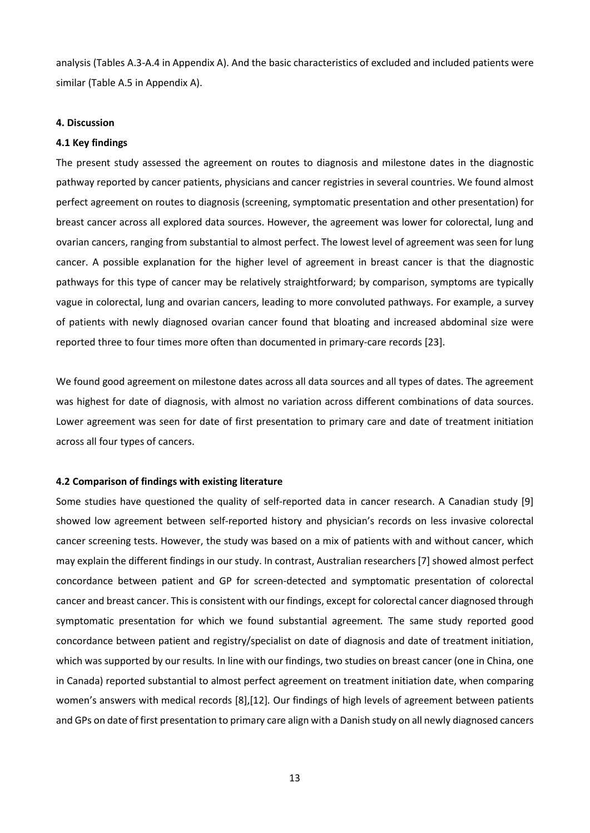analysis (Tables A.3-A.4 in Appendix A). And the basic characteristics of excluded and included patients were similar (Table A.5 in Appendix A).

#### **4. Discussion**

#### **4.1 Key findings**

The present study assessed the agreement on routes to diagnosis and milestone dates in the diagnostic pathway reported by cancer patients, physicians and cancer registries in several countries. We found almost perfect agreement on routes to diagnosis (screening, symptomatic presentation and other presentation) for breast cancer across all explored data sources. However, the agreement was lower for colorectal, lung and ovarian cancers, ranging from substantial to almost perfect. The lowest level of agreement was seen for lung cancer. A possible explanation for the higher level of agreement in breast cancer is that the diagnostic pathways for this type of cancer may be relatively straightforward; by comparison, symptoms are typically vague in colorectal, lung and ovarian cancers, leading to more convoluted pathways. For example, a survey of patients with newly diagnosed ovarian cancer found that bloating and increased abdominal size were reported three to four times more often than documented in primary-care records [23].

We found good agreement on milestone dates across all data sources and all types of dates. The agreement was highest for date of diagnosis, with almost no variation across different combinations of data sources. Lower agreement was seen for date of first presentation to primary care and date of treatment initiation across all four types of cancers.

#### **4.2 Comparison of findings with existing literature**

Some studies have questioned the quality of self-reported data in cancer research. A Canadian study [9] showed low agreement between self-reported history and physician's records on less invasive colorectal cancer screening tests. However, the study was based on a mix of patients with and without cancer, which may explain the different findings in our study. In contrast, Australian researchers [7] showed almost perfect concordance between patient and GP for screen-detected and symptomatic presentation of colorectal cancer and breast cancer. This is consistent with our findings, except for colorectal cancer diagnosed through symptomatic presentation for which we found substantial agreement*.* The same study reported good concordance between patient and registry/specialist on date of diagnosis and date of treatment initiation, which was supported by our results*.* In line with our findings, two studies on breast cancer (one in China, one in Canada) reported substantial to almost perfect agreement on treatment initiation date, when comparing women's answers with medical records [8],[12]*.* Our findings of high levels of agreement between patients and GPs on date of first presentation to primary care align with a Danish study on all newly diagnosed cancers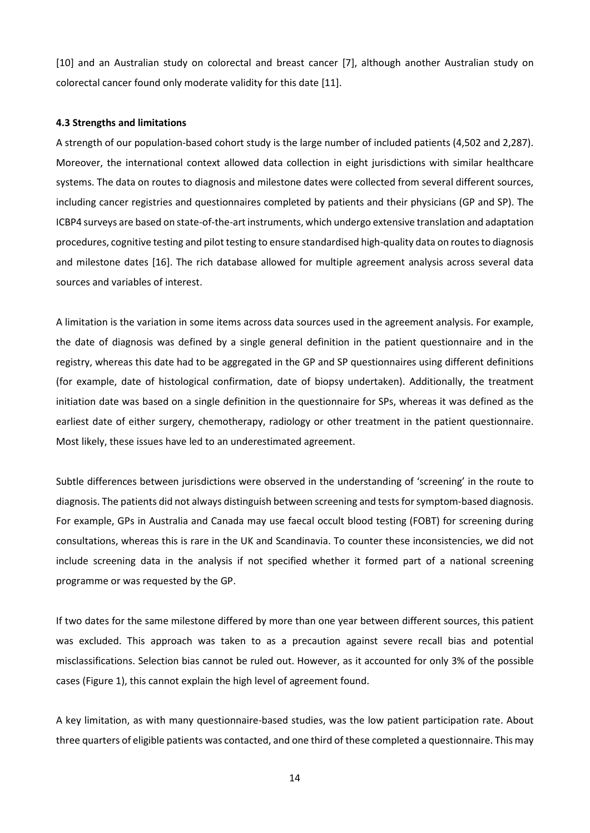[10] and an Australian study on colorectal and breast cancer [7], although another Australian study on colorectal cancer found only moderate validity for this date [11].

#### **4.3 Strengths and limitations**

A strength of our population-based cohort study is the large number of included patients (4,502 and 2,287). Moreover, the international context allowed data collection in eight jurisdictions with similar healthcare systems. The data on routes to diagnosis and milestone dates were collected from several different sources, including cancer registries and questionnaires completed by patients and their physicians (GP and SP). The ICBP4 surveys are based on state-of-the-art instruments, which undergo extensive translation and adaptation procedures, cognitive testing and pilot testing to ensure standardised high-quality data on routes to diagnosis and milestone dates [16]. The rich database allowed for multiple agreement analysis across several data sources and variables of interest.

A limitation is the variation in some items across data sources used in the agreement analysis. For example, the date of diagnosis was defined by a single general definition in the patient questionnaire and in the registry, whereas this date had to be aggregated in the GP and SP questionnaires using different definitions (for example, date of histological confirmation, date of biopsy undertaken). Additionally, the treatment initiation date was based on a single definition in the questionnaire for SPs, whereas it was defined as the earliest date of either surgery, chemotherapy, radiology or other treatment in the patient questionnaire. Most likely, these issues have led to an underestimated agreement.

Subtle differences between jurisdictions were observed in the understanding of 'screening' in the route to diagnosis. The patients did not always distinguish between screening and tests for symptom-based diagnosis. For example, GPs in Australia and Canada may use faecal occult blood testing (FOBT) for screening during consultations, whereas this is rare in the UK and Scandinavia. To counter these inconsistencies, we did not include screening data in the analysis if not specified whether it formed part of a national screening programme or was requested by the GP.

If two dates for the same milestone differed by more than one year between different sources, this patient was excluded. This approach was taken to as a precaution against severe recall bias and potential misclassifications. Selection bias cannot be ruled out. However, as it accounted for only 3% of the possible cases (Figure 1), this cannot explain the high level of agreement found.

A key limitation, as with many questionnaire-based studies, was the low patient participation rate. About three quarters of eligible patients was contacted, and one third of these completed a questionnaire. This may

14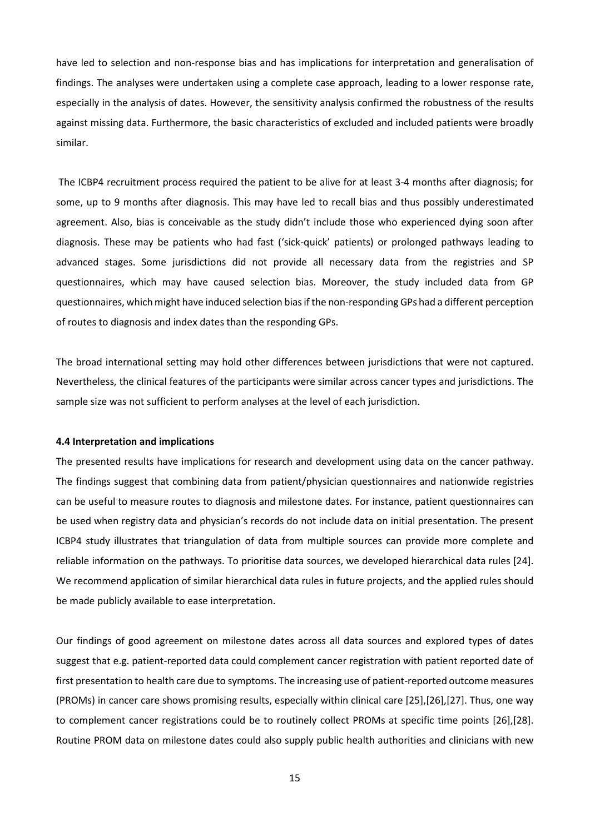have led to selection and non-response bias and has implications for interpretation and generalisation of findings. The analyses were undertaken using a complete case approach, leading to a lower response rate, especially in the analysis of dates. However, the sensitivity analysis confirmed the robustness of the results against missing data. Furthermore, the basic characteristics of excluded and included patients were broadly similar.

The ICBP4 recruitment process required the patient to be alive for at least 3-4 months after diagnosis; for some, up to 9 months after diagnosis. This may have led to recall bias and thus possibly underestimated agreement. Also, bias is conceivable as the study didn't include those who experienced dying soon after diagnosis. These may be patients who had fast ('sick-quick' patients) or prolonged pathways leading to advanced stages. Some jurisdictions did not provide all necessary data from the registries and SP questionnaires, which may have caused selection bias. Moreover, the study included data from GP questionnaires, which might have induced selection bias if the non-responding GPs had a different perception of routes to diagnosis and index dates than the responding GPs.

The broad international setting may hold other differences between jurisdictions that were not captured. Nevertheless, the clinical features of the participants were similar across cancer types and jurisdictions. The sample size was not sufficient to perform analyses at the level of each jurisdiction.

#### **4.4 Interpretation and implications**

The presented results have implications for research and development using data on the cancer pathway. The findings suggest that combining data from patient/physician questionnaires and nationwide registries can be useful to measure routes to diagnosis and milestone dates. For instance, patient questionnaires can be used when registry data and physician's records do not include data on initial presentation. The present ICBP4 study illustrates that triangulation of data from multiple sources can provide more complete and reliable information on the pathways. To prioritise data sources, we developed hierarchical data rules [24]. We recommend application of similar hierarchical data rules in future projects, and the applied rules should be made publicly available to ease interpretation.

Our findings of good agreement on milestone dates across all data sources and explored types of dates suggest that e.g. patient-reported data could complement cancer registration with patient reported date of first presentation to health care due to symptoms. The increasing use of patient-reported outcome measures (PROMs) in cancer care shows promising results, especially within clinical care [25],[26],[27]. Thus, one way to complement cancer registrations could be to routinely collect PROMs at specific time points [26],[28]. Routine PROM data on milestone dates could also supply public health authorities and clinicians with new

15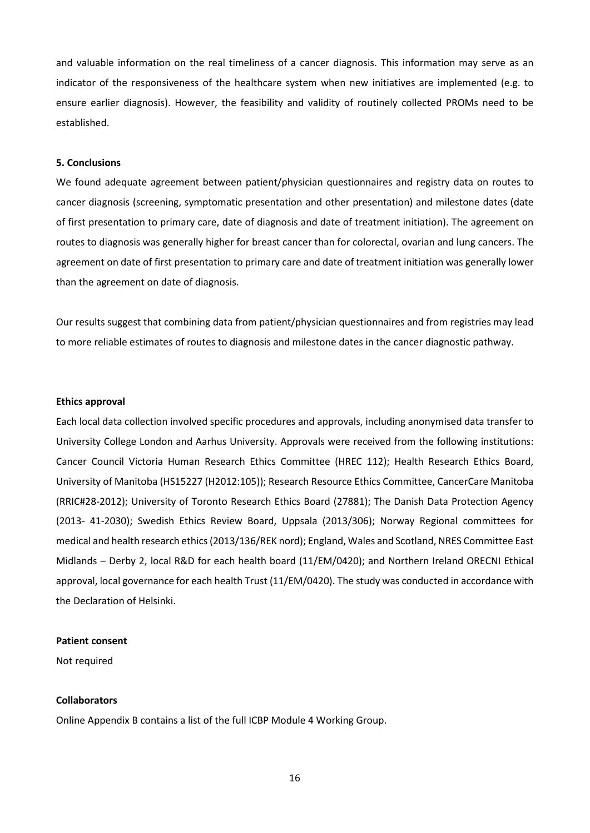and valuable information on the real timeliness of a cancer diagnosis. This information may serve as an indicator of the responsiveness of the healthcare system when new initiatives are implemented (e.g. to ensure earlier diagnosis). However, the feasibility and validity of routinely collected PROMs need to be established.

#### **5. Conclusions**

We found adequate agreement between patient/physician questionnaires and registry data on routes to cancer diagnosis (screening, symptomatic presentation and other presentation) and milestone dates (date of first presentation to primary care, date of diagnosis and date of treatment initiation). The agreement on routes to diagnosis was generally higher for breast cancer than for colorectal, ovarian and lung cancers. The agreement on date of first presentation to primary care and date of treatment initiation was generally lower than the agreement on date of diagnosis.

Our results suggest that combining data from patient/physician questionnaires and from registries may lead to more reliable estimates of routes to diagnosis and milestone dates in the cancer diagnostic pathway.

#### **Ethics approval**

Each local data collection involved specific procedures and approvals, including anonymised data transfer to University College London and Aarhus University. Approvals were received from the following institutions: Cancer Council Victoria Human Research Ethics Committee (HREC 112); Health Research Ethics Board, University of Manitoba (HS15227 (H2012:105)); Research Resource Ethics Committee, CancerCare Manitoba (RRIC#28-2012); University of Toronto Research Ethics Board (27881); The Danish Data Protection Agency (2013- 41-2030); Swedish Ethics Review Board, Uppsala (2013/306); Norway Regional committees for medical and health research ethics (2013/136/REK nord); England, Wales and Scotland, NRES Committee East Midlands – Derby 2, local R&D for each health board (11/EM/0420); and Northern Ireland ORECNI Ethical approval, local governance for each health Trust (11/EM/0420). The study was conducted in accordance with the Declaration of Helsinki.

#### **Patient consent**

Not required

## **Collaborators**

Online Appendix B contains a list of the full ICBP Module 4 Working Group.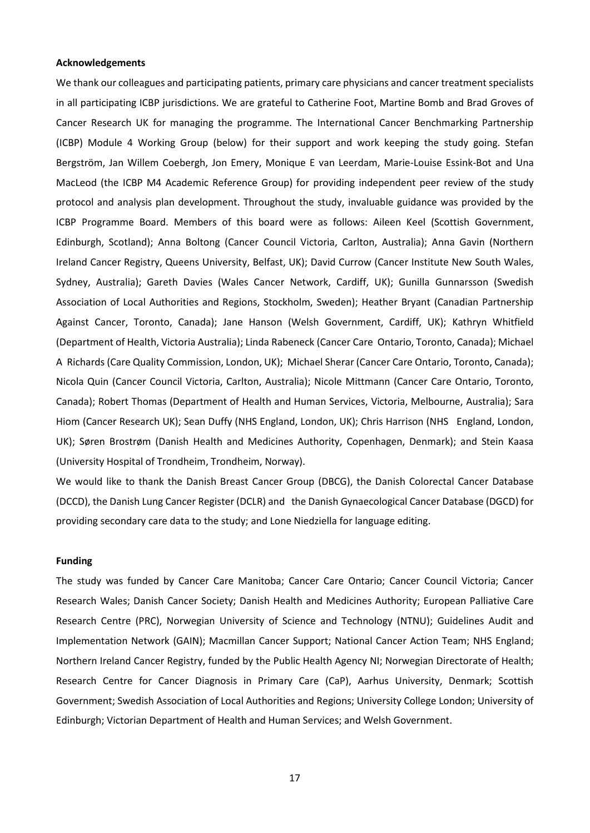#### **Acknowledgements**

We thank our colleagues and participating patients, primary care physicians and cancer treatment specialists in all participating ICBP jurisdictions. We are grateful to Catherine Foot, Martine Bomb and Brad Groves of Cancer Research UK for managing the programme. The International Cancer Benchmarking Partnership (ICBP) Module 4 Working Group (below) for their support and work keeping the study going. Stefan Bergström, Jan Willem Coebergh, Jon Emery, Monique E van Leerdam, Marie-Louise Essink-Bot and Una MacLeod (the ICBP M4 Academic Reference Group) for providing independent peer review of the study protocol and analysis plan development. Throughout the study, invaluable guidance was provided by the ICBP Programme Board. Members of this board were as follows: Aileen Keel (Scottish Government, Edinburgh, Scotland); Anna Boltong (Cancer Council Victoria, Carlton, Australia); Anna Gavin (Northern Ireland Cancer Registry, Queens University, Belfast, UK); David Currow (Cancer Institute New South Wales, Sydney, Australia); Gareth Davies (Wales Cancer Network, Cardiff, UK); Gunilla Gunnarsson (Swedish Association of Local Authorities and Regions, Stockholm, Sweden); Heather Bryant (Canadian Partnership Against Cancer, Toronto, Canada); Jane Hanson (Welsh Government, Cardiff, UK); Kathryn Whitfield (Department of Health, Victoria Australia); Linda Rabeneck (Cancer Care Ontario, Toronto, Canada); Michael A Richards (Care Quality Commission, London, UK); Michael Sherar (Cancer Care Ontario, Toronto, Canada); Nicola Quin (Cancer Council Victoria, Carlton, Australia); Nicole Mittmann (Cancer Care Ontario, Toronto, Canada); Robert Thomas (Department of Health and Human Services, Victoria, Melbourne, Australia); Sara Hiom (Cancer Research UK); Sean Duffy (NHS England, London, UK); Chris Harrison (NHS England, London, UK); Søren Brostrøm (Danish Health and Medicines Authority, Copenhagen, Denmark); and Stein Kaasa (University Hospital of Trondheim, Trondheim, Norway).

We would like to thank the Danish Breast Cancer Group (DBCG), the Danish Colorectal Cancer Database (DCCD), the Danish Lung Cancer Register (DCLR) and the Danish Gynaecological Cancer Database (DGCD) for providing secondary care data to the study; and Lone Niedziella for language editing.

#### **Funding**

The study was funded by Cancer Care Manitoba; Cancer Care Ontario; Cancer Council Victoria; Cancer Research Wales; Danish Cancer Society; Danish Health and Medicines Authority; European Palliative Care Research Centre (PRC), Norwegian University of Science and Technology (NTNU); Guidelines Audit and Implementation Network (GAIN); Macmillan Cancer Support; National Cancer Action Team; NHS England; Northern Ireland Cancer Registry, funded by the Public Health Agency NI; Norwegian Directorate of Health; Research Centre for Cancer Diagnosis in Primary Care (CaP), Aarhus University, Denmark; Scottish Government; Swedish Association of Local Authorities and Regions; University College London; University of Edinburgh; Victorian Department of Health and Human Services; and Welsh Government.

17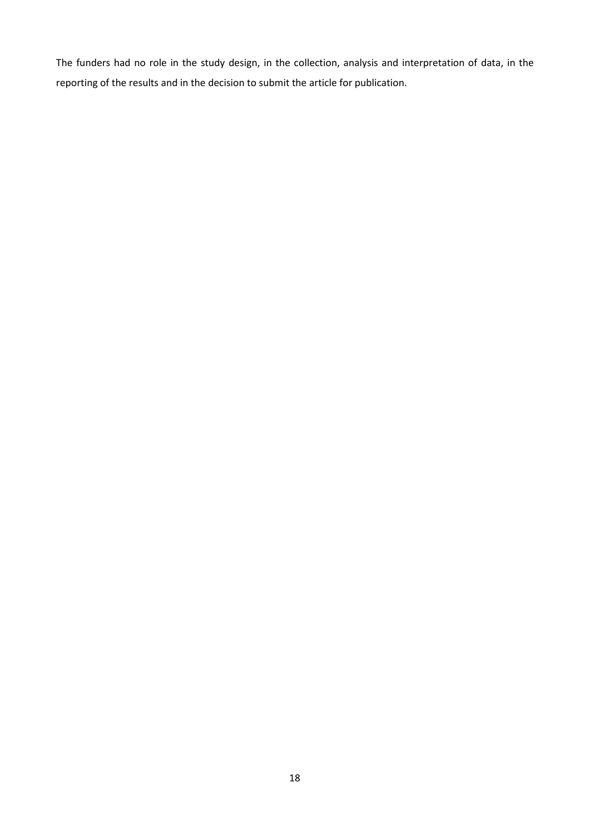The funders had no role in the study design, in the collection, analysis and interpretation of data, in the reporting of the results and in the decision to submit the article for publication.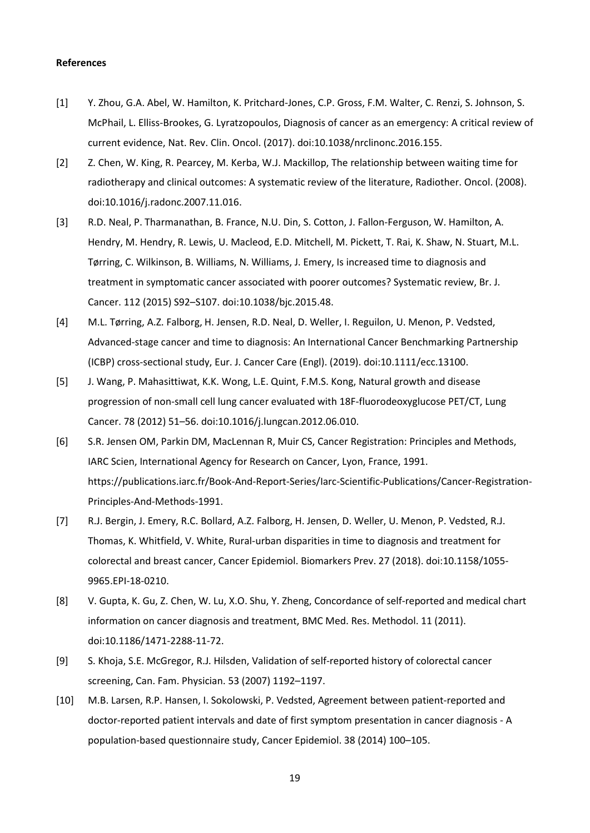#### **References**

- [1] Y. Zhou, G.A. Abel, W. Hamilton, K. Pritchard-Jones, C.P. Gross, F.M. Walter, C. Renzi, S. Johnson, S. McPhail, L. Elliss-Brookes, G. Lyratzopoulos, Diagnosis of cancer as an emergency: A critical review of current evidence, Nat. Rev. Clin. Oncol. (2017). doi:10.1038/nrclinonc.2016.155.
- [2] Z. Chen, W. King, R. Pearcey, M. Kerba, W.J. Mackillop, The relationship between waiting time for radiotherapy and clinical outcomes: A systematic review of the literature, Radiother. Oncol. (2008). doi:10.1016/j.radonc.2007.11.016.
- [3] R.D. Neal, P. Tharmanathan, B. France, N.U. Din, S. Cotton, J. Fallon-Ferguson, W. Hamilton, A. Hendry, M. Hendry, R. Lewis, U. Macleod, E.D. Mitchell, M. Pickett, T. Rai, K. Shaw, N. Stuart, M.L. Tørring, C. Wilkinson, B. Williams, N. Williams, J. Emery, Is increased time to diagnosis and treatment in symptomatic cancer associated with poorer outcomes? Systematic review, Br. J. Cancer. 112 (2015) S92–S107. doi:10.1038/bjc.2015.48.
- [4] M.L. Tørring, A.Z. Falborg, H. Jensen, R.D. Neal, D. Weller, I. Reguilon, U. Menon, P. Vedsted, Advanced-stage cancer and time to diagnosis: An International Cancer Benchmarking Partnership (ICBP) cross-sectional study, Eur. J. Cancer Care (Engl). (2019). doi:10.1111/ecc.13100.
- [5] J. Wang, P. Mahasittiwat, K.K. Wong, L.E. Quint, F.M.S. Kong, Natural growth and disease progression of non-small cell lung cancer evaluated with 18F-fluorodeoxyglucose PET/CT, Lung Cancer. 78 (2012) 51–56. doi:10.1016/j.lungcan.2012.06.010.
- [6] S.R. Jensen OM, Parkin DM, MacLennan R, Muir CS, Cancer Registration: Principles and Methods, IARC Scien, International Agency for Research on Cancer, Lyon, France, 1991. https://publications.iarc.fr/Book-And-Report-Series/Iarc-Scientific-Publications/Cancer-Registration-Principles-And-Methods-1991.
- [7] R.J. Bergin, J. Emery, R.C. Bollard, A.Z. Falborg, H. Jensen, D. Weller, U. Menon, P. Vedsted, R.J. Thomas, K. Whitfield, V. White, Rural-urban disparities in time to diagnosis and treatment for colorectal and breast cancer, Cancer Epidemiol. Biomarkers Prev. 27 (2018). doi:10.1158/1055- 9965.EPI-18-0210.
- [8] V. Gupta, K. Gu, Z. Chen, W. Lu, X.O. Shu, Y. Zheng, Concordance of self-reported and medical chart information on cancer diagnosis and treatment, BMC Med. Res. Methodol. 11 (2011). doi:10.1186/1471-2288-11-72.
- [9] S. Khoja, S.E. McGregor, R.J. Hilsden, Validation of self-reported history of colorectal cancer screening, Can. Fam. Physician. 53 (2007) 1192–1197.
- [10] M.B. Larsen, R.P. Hansen, I. Sokolowski, P. Vedsted, Agreement between patient-reported and doctor-reported patient intervals and date of first symptom presentation in cancer diagnosis - A population-based questionnaire study, Cancer Epidemiol. 38 (2014) 100–105.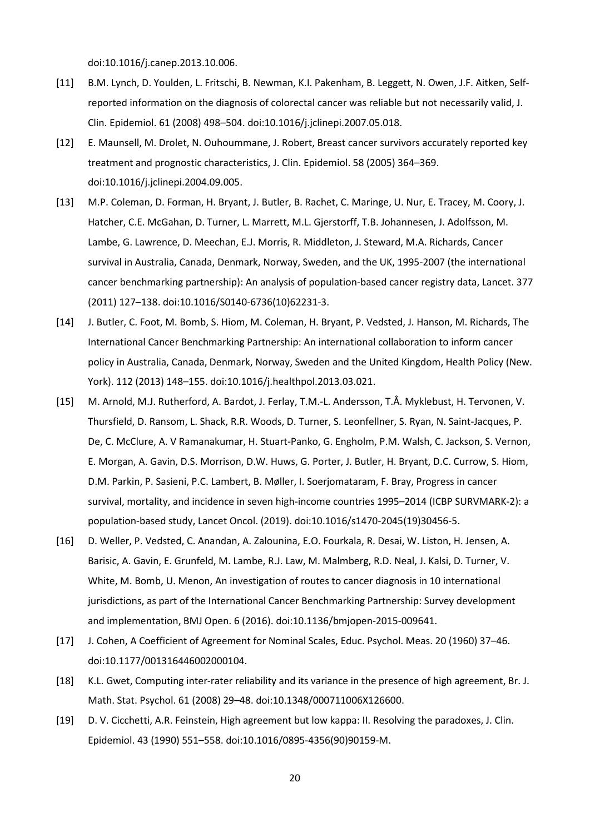doi:10.1016/j.canep.2013.10.006.

- [11] B.M. Lynch, D. Youlden, L. Fritschi, B. Newman, K.I. Pakenham, B. Leggett, N. Owen, J.F. Aitken, Selfreported information on the diagnosis of colorectal cancer was reliable but not necessarily valid, J. Clin. Epidemiol. 61 (2008) 498–504. doi:10.1016/j.jclinepi.2007.05.018.
- [12] E. Maunsell, M. Drolet, N. Ouhoummane, J. Robert, Breast cancer survivors accurately reported key treatment and prognostic characteristics, J. Clin. Epidemiol. 58 (2005) 364–369. doi:10.1016/j.jclinepi.2004.09.005.
- [13] M.P. Coleman, D. Forman, H. Bryant, J. Butler, B. Rachet, C. Maringe, U. Nur, E. Tracey, M. Coory, J. Hatcher, C.E. McGahan, D. Turner, L. Marrett, M.L. Gjerstorff, T.B. Johannesen, J. Adolfsson, M. Lambe, G. Lawrence, D. Meechan, E.J. Morris, R. Middleton, J. Steward, M.A. Richards, Cancer survival in Australia, Canada, Denmark, Norway, Sweden, and the UK, 1995-2007 (the international cancer benchmarking partnership): An analysis of population-based cancer registry data, Lancet. 377 (2011) 127–138. doi:10.1016/S0140-6736(10)62231-3.
- [14] J. Butler, C. Foot, M. Bomb, S. Hiom, M. Coleman, H. Bryant, P. Vedsted, J. Hanson, M. Richards, The International Cancer Benchmarking Partnership: An international collaboration to inform cancer policy in Australia, Canada, Denmark, Norway, Sweden and the United Kingdom, Health Policy (New. York). 112 (2013) 148–155. doi:10.1016/j.healthpol.2013.03.021.
- [15] M. Arnold, M.J. Rutherford, A. Bardot, J. Ferlay, T.M.-L. Andersson, T.Å. Myklebust, H. Tervonen, V. Thursfield, D. Ransom, L. Shack, R.R. Woods, D. Turner, S. Leonfellner, S. Ryan, N. Saint-Jacques, P. De, C. McClure, A. V Ramanakumar, H. Stuart-Panko, G. Engholm, P.M. Walsh, C. Jackson, S. Vernon, E. Morgan, A. Gavin, D.S. Morrison, D.W. Huws, G. Porter, J. Butler, H. Bryant, D.C. Currow, S. Hiom, D.M. Parkin, P. Sasieni, P.C. Lambert, B. Møller, I. Soerjomataram, F. Bray, Progress in cancer survival, mortality, and incidence in seven high-income countries 1995–2014 (ICBP SURVMARK-2): a population-based study, Lancet Oncol. (2019). doi:10.1016/s1470-2045(19)30456-5.
- [16] D. Weller, P. Vedsted, C. Anandan, A. Zalounina, E.O. Fourkala, R. Desai, W. Liston, H. Jensen, A. Barisic, A. Gavin, E. Grunfeld, M. Lambe, R.J. Law, M. Malmberg, R.D. Neal, J. Kalsi, D. Turner, V. White, M. Bomb, U. Menon, An investigation of routes to cancer diagnosis in 10 international jurisdictions, as part of the International Cancer Benchmarking Partnership: Survey development and implementation, BMJ Open. 6 (2016). doi:10.1136/bmjopen-2015-009641.
- [17] J. Cohen, A Coefficient of Agreement for Nominal Scales, Educ. Psychol. Meas. 20 (1960) 37–46. doi:10.1177/001316446002000104.
- [18] K.L. Gwet, Computing inter-rater reliability and its variance in the presence of high agreement, Br. J. Math. Stat. Psychol. 61 (2008) 29–48. doi:10.1348/000711006X126600.
- [19] D. V. Cicchetti, A.R. Feinstein, High agreement but low kappa: II. Resolving the paradoxes, J. Clin. Epidemiol. 43 (1990) 551–558. doi:10.1016/0895-4356(90)90159-M.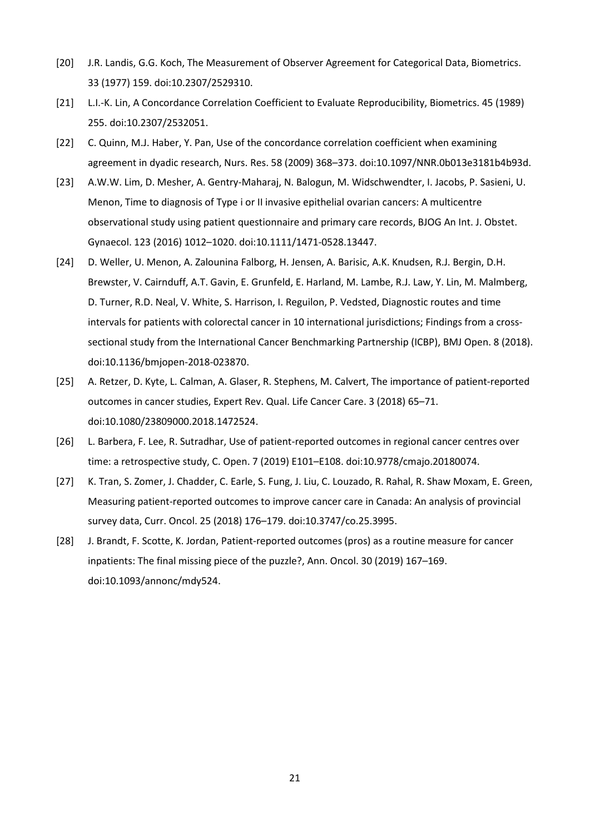- [20] J.R. Landis, G.G. Koch, The Measurement of Observer Agreement for Categorical Data, Biometrics. 33 (1977) 159. doi:10.2307/2529310.
- [21] L.I.-K. Lin, A Concordance Correlation Coefficient to Evaluate Reproducibility, Biometrics. 45 (1989) 255. doi:10.2307/2532051.
- [22] C. Quinn, M.J. Haber, Y. Pan, Use of the concordance correlation coefficient when examining agreement in dyadic research, Nurs. Res. 58 (2009) 368–373. doi:10.1097/NNR.0b013e3181b4b93d.
- [23] A.W.W. Lim, D. Mesher, A. Gentry-Maharaj, N. Balogun, M. Widschwendter, I. Jacobs, P. Sasieni, U. Menon, Time to diagnosis of Type i or II invasive epithelial ovarian cancers: A multicentre observational study using patient questionnaire and primary care records, BJOG An Int. J. Obstet. Gynaecol. 123 (2016) 1012–1020. doi:10.1111/1471-0528.13447.
- [24] D. Weller, U. Menon, A. Zalounina Falborg, H. Jensen, A. Barisic, A.K. Knudsen, R.J. Bergin, D.H. Brewster, V. Cairnduff, A.T. Gavin, E. Grunfeld, E. Harland, M. Lambe, R.J. Law, Y. Lin, M. Malmberg, D. Turner, R.D. Neal, V. White, S. Harrison, I. Reguilon, P. Vedsted, Diagnostic routes and time intervals for patients with colorectal cancer in 10 international jurisdictions; Findings from a crosssectional study from the International Cancer Benchmarking Partnership (ICBP), BMJ Open. 8 (2018). doi:10.1136/bmjopen-2018-023870.
- [25] A. Retzer, D. Kyte, L. Calman, A. Glaser, R. Stephens, M. Calvert, The importance of patient-reported outcomes in cancer studies, Expert Rev. Qual. Life Cancer Care. 3 (2018) 65–71. doi:10.1080/23809000.2018.1472524.
- [26] L. Barbera, F. Lee, R. Sutradhar, Use of patient-reported outcomes in regional cancer centres over time: a retrospective study, C. Open. 7 (2019) E101–E108. doi:10.9778/cmajo.20180074.
- [27] K. Tran, S. Zomer, J. Chadder, C. Earle, S. Fung, J. Liu, C. Louzado, R. Rahal, R. Shaw Moxam, E. Green, Measuring patient-reported outcomes to improve cancer care in Canada: An analysis of provincial survey data, Curr. Oncol. 25 (2018) 176–179. doi:10.3747/co.25.3995.
- [28] J. Brandt, F. Scotte, K. Jordan, Patient-reported outcomes (pros) as a routine measure for cancer inpatients: The final missing piece of the puzzle?, Ann. Oncol. 30 (2019) 167–169. doi:10.1093/annonc/mdy524.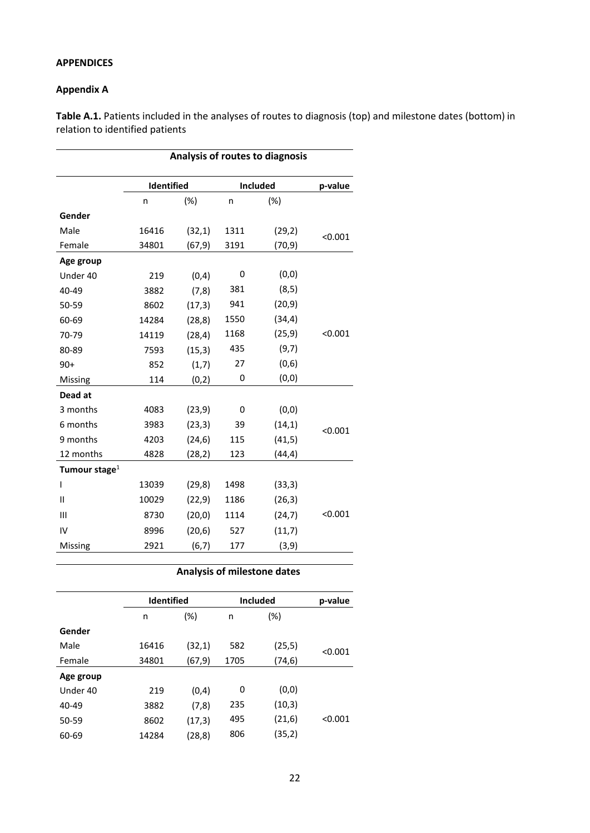## **APPENDICES**

## **Appendix A**

**Table A.1.** Patients included in the analyses of routes to diagnosis (top) and milestone dates (bottom) in relation to identified patients

|                  |                   |         |      | Analysis of routes to diagnosis |         |
|------------------|-------------------|---------|------|---------------------------------|---------|
|                  | <b>Identified</b> |         |      | Included                        | p-value |
|                  | n                 | $(\%)$  | n    | (%)                             |         |
| Gender           |                   |         |      |                                 |         |
| Male             | 16416             | (32,1)  | 1311 | (29, 2)                         | < 0.001 |
| Female           | 34801             | (67, 9) | 3191 | (70,9)                          |         |
| Age group        |                   |         |      |                                 |         |
| Under 40         | 219               | (0, 4)  | 0    | (0, 0)                          |         |
| 40-49            | 3882              | (7, 8)  | 381  | (8, 5)                          |         |
| 50-59            | 8602              | (17, 3) | 941  | (20, 9)                         |         |
| 60-69            | 14284             | (28, 8) | 1550 | (34, 4)                         |         |
| 70-79            | 14119             | (28, 4) | 1168 | (25, 9)                         | < 0.001 |
| 80-89            | 7593              | (15,3)  | 435  | (9,7)                           |         |
| $90+$            | 852               | (1,7)   | 27   | (0,6)                           |         |
| Missing          | 114               | (0, 2)  | 0    | (0, 0)                          |         |
| Dead at          |                   |         |      |                                 |         |
| 3 months         | 4083              | (23, 9) | 0    | (0, 0)                          |         |
| 6 months         | 3983              | (23,3)  | 39   | (14,1)                          | < 0.001 |
| 9 months         | 4203              | (24, 6) | 115  | (41, 5)                         |         |
| 12 months        | 4828              | (28, 2) | 123  | (44, 4)                         |         |
| Tumour stage $1$ |                   |         |      |                                 |         |
| T                | 13039             | (29, 8) | 1498 | (33,3)                          |         |
| $\mathbf{II}$    | 10029             | (22, 9) | 1186 | (26, 3)                         |         |
| Ш                | 8730              | (20, 0) | 1114 | (24,7)                          | < 0.001 |
| IV               | 8996              | (20, 6) | 527  | (11,7)                          |         |
| Missing          | 2921              | (6, 7)  | 177  | (3, 9)                          |         |

## **Analysis of milestone dates**

|           |       | <b>Identified</b> |      | <b>Included</b> | p-value |
|-----------|-------|-------------------|------|-----------------|---------|
|           | n     | $(\%)$            | n    | (%)             |         |
| Gender    |       |                   |      |                 |         |
| Male      | 16416 | (32,1)            | 582  | (25, 5)         | < 0.001 |
| Female    | 34801 | (67,9)            | 1705 | (74, 6)         |         |
| Age group |       |                   |      |                 |         |
| Under 40  | 219   | (0,4)             | 0    | (0,0)           |         |
| 40-49     | 3882  | (7, 8)            | 235  | (10,3)          |         |
| 50-59     | 8602  | (17,3)            | 495  | (21,6)          | < 0.001 |
| 60-69     | 14284 | (28, 8)           | 806  | (35,2)          |         |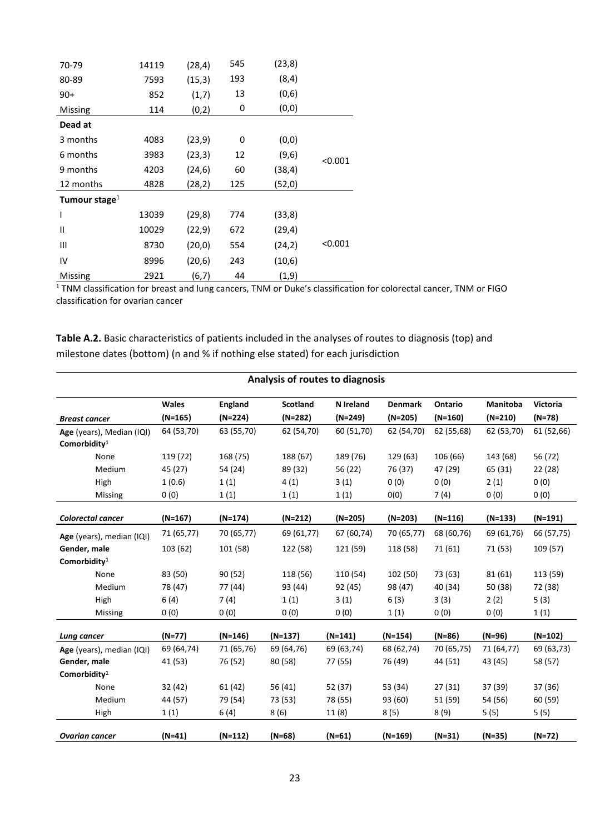| 70-79            | 14119 | (28, 4) | 545 | (23,8)  |         |
|------------------|-------|---------|-----|---------|---------|
| 80-89            | 7593  | (15,3)  | 193 | (8, 4)  |         |
| 90+              | 852   | (1,7)   | 13  | (0,6)   |         |
| Missing          | 114   | (0, 2)  | 0   | (0, 0)  |         |
| Dead at          |       |         |     |         |         |
| 3 months         | 4083  | (23, 9) | 0   | (0, 0)  |         |
| 6 months         | 3983  | (23,3)  | 12  | (9,6)   | < 0.001 |
| 9 months         | 4203  | (24, 6) | 60  | (38, 4) |         |
| 12 months        | 4828  | (28, 2) | 125 | (52,0)  |         |
| Tumour stage $1$ |       |         |     |         |         |
| I                | 13039 | (29, 8) | 774 | (33,8)  |         |
| Ш                | 10029 | (22, 9) | 672 | (29, 4) |         |
| Ш                | 8730  | (20, 0) | 554 | (24,2)  | < 0.001 |
| IV               | 8996  | (20,6)  | 243 | (10,6)  |         |
| Missing          | 2921  | (6,7)   | 44  | (1, 9)  |         |

 $1$  TNM classification for breast and lung cancers, TNM or Duke's classification for colorectal cancer, TNM or FIGO classification for ovarian cancer

**Table A.2.** Basic characteristics of patients included in the analyses of routes to diagnosis (top) and milestone dates (bottom) (n and % if nothing else stated) for each jurisdiction

|                           | Analysis of routes to diagnosis |                |                 |            |                |            |                 |                 |  |
|---------------------------|---------------------------------|----------------|-----------------|------------|----------------|------------|-----------------|-----------------|--|
|                           | <b>Wales</b>                    | <b>England</b> | <b>Scotland</b> | N Ireland  | <b>Denmark</b> | Ontario    | <b>Manitoba</b> | <b>Victoria</b> |  |
| <b>Breast cancer</b>      | (N=165)                         | $(N=224)$      | $(N=282)$       | $(N=249)$  | $(N=205)$      | $(N=160)$  | $(N=210)$       | $(N=78)$        |  |
| Age (years), Median (IQI) | 64 (53,70)                      | 63 (55,70)     | 62 (54,70)      | 60 (51,70) | 62 (54,70)     | 62 (55,68) | 62 (53,70)      | 61 (52,66)      |  |
| Comorbidity <sup>1</sup>  |                                 |                |                 |            |                |            |                 |                 |  |
| None                      | 119 (72)                        | 168 (75)       | 188 (67)        | 189 (76)   | 129 (63)       | 106 (66)   | 143 (68)        | 56 (72)         |  |
| Medium                    | 45 (27)                         | 54 (24)        | 89 (32)         | 56 (22)    | 76 (37)        | 47 (29)    | 65 (31)         | 22 (28)         |  |
| High                      | 1(0.6)                          | 1(1)           | 4(1)            | 3(1)       | 0(0)           | 0(0)       | 2(1)            | 0(0)            |  |
| Missing                   | 0(0)                            | 1(1)           | 1(1)            | 1(1)       | O(0)           | 7(4)       | 0(0)            | 0(0)            |  |
| Colorectal cancer         | $(N=167)$                       | (N=174)        | (N=212)         | (N=205)    | $(N=203)$      | $(N=116)$  | $(N=133)$       | $(N=191)$       |  |
|                           |                                 |                |                 |            |                |            |                 |                 |  |
| Age (years), median (IQI) | 71 (65,77)                      | 70 (65,77)     | 69 (61,77)      | 67 (60,74) | 70 (65,77)     | 68 (60,76) | 69 (61,76)      | 66 (57,75)      |  |
| Gender, male              | 103 (62)                        | 101 (58)       | 122 (58)        | 121 (59)   | 118 (58)       | 71 (61)    | 71 (53)         | 109 (57)        |  |
| Comorbidity <sup>1</sup>  |                                 |                |                 |            |                |            |                 |                 |  |
| None                      | 83 (50)                         | 90(52)         | 118 (56)        | 110 (54)   | 102 (50)       | 73 (63)    | 81(61)          | 113 (59)        |  |
| Medium                    | 78 (47)                         | 77 (44)        | 93 (44)         | 92 (45)    | 98 (47)        | 40 (34)    | 50 (38)         | 72 (38)         |  |
| High                      | 6(4)                            | 7(4)           | 1(1)            | 3(1)       | 6(3)           | 3(3)       | 2(2)            | 5(3)            |  |
| Missing                   | 0(0)                            | 0(0)           | 0(0)            | 0(0)       | 1(1)           | 0(0)       | 0(0)            | 1(1)            |  |
| Lung cancer               | (N=77)                          | $(N=146)$      | $(N=137)$       | $(N=141)$  | $(N=154)$      | $(N=86)$   | $(N=96)$        | $(N=102)$       |  |
| Age (years), median (IQI) | 69 (64,74)                      | 71 (65,76)     | 69 (64,76)      | 69 (63,74) | 68 (62,74)     | 70 (65,75) | 71 (64,77)      | 69 (63,73)      |  |
| Gender, male              | 41 (53)                         | 76 (52)        | 80 (58)         | 77 (55)    | 76 (49)        | 44 (51)    | 43 (45)         | 58 (57)         |  |
| Comorbidity <sup>1</sup>  |                                 |                |                 |            |                |            |                 |                 |  |
| None                      | 32 (42)                         | 61 (42)        | 56 (41)         | 52 (37)    | 53 (34)        | 27(31)     | 37 (39)         | 37 (36)         |  |
| Medium                    | 44 (57)                         | 79 (54)        | 73 (53)         | 78 (55)    | 93 (60)        | 51 (59)    | 54 (56)         | 60 (59)         |  |
| High                      | 1(1)                            | 6(4)           | 8(6)            | 11(8)      | 8(5)           | 8(9)       | 5(5)            | 5(5)            |  |
| <b>Ovarian cancer</b>     | $(N=41)$                        | $(N=112)$      | $(N=68)$        | $(N=61)$   | $(N=169)$      | $(N=31)$   | $(N=35)$        | $(N=72)$        |  |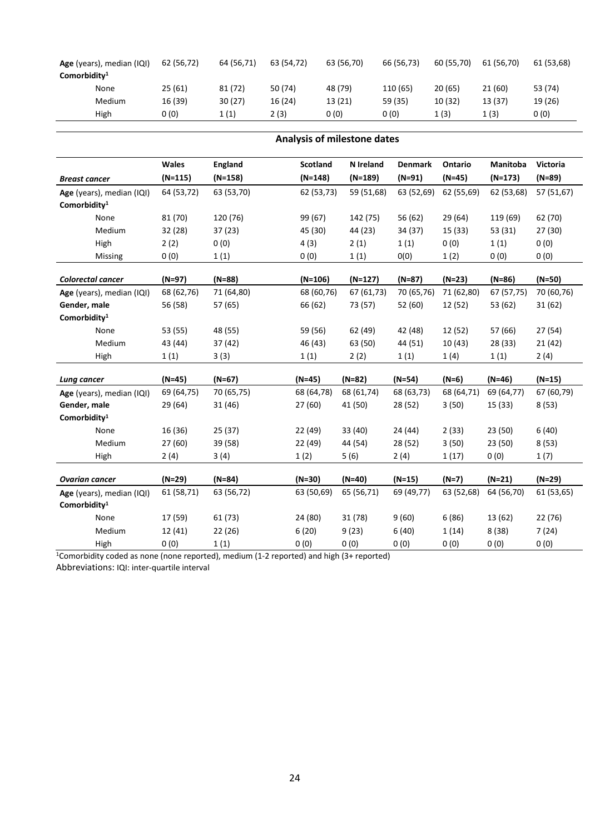| Age (years), median (IQI)<br>Comorbidity <sup>1</sup> | 62 (56,72) | 64 (56,71) | 63 (54.72) | 63 (56,70) | 66 (56,73) | 60 (55,70) | 61 (56,70) | 61 (53,68) |
|-------------------------------------------------------|------------|------------|------------|------------|------------|------------|------------|------------|
| None                                                  | 25(61)     | 81(72)     | 50 (74)    | 48 (79)    | 110 (65)   | 20 (65)    | 21 (60)    | 53 (74)    |
|                                                       |            |            |            |            |            |            |            |            |
| Medium                                                | 16 (39)    | 30(27)     | 16 (24)    | 13 (21)    | 59 (35)    | 10 (32)    | 13 (37)    | 19 (26)    |
| High                                                  | 0(0)       | 1(1)       | 2 (3)      | 0 (0)      | 0 (0)      | 1(3)       | 1 (3)      | 0 (0)      |

|                                                       | Analysis of milestone dates |                |                 |            |                |            |                 |                 |  |  |  |
|-------------------------------------------------------|-----------------------------|----------------|-----------------|------------|----------------|------------|-----------------|-----------------|--|--|--|
|                                                       | Wales                       | <b>England</b> | <b>Scotland</b> | N Ireland  | <b>Denmark</b> | Ontario    | <b>Manitoba</b> | <b>Victoria</b> |  |  |  |
| <b>Breast cancer</b>                                  | $(N=115)$                   | $(N=158)$      | $(N=148)$       | $(N=189)$  | $(N=91)$       | $(N=45)$   | $(N=173)$       | $(N=89)$        |  |  |  |
| Age (years), median (IQI)<br>Comorbidity <sup>1</sup> | 64 (53,72)                  | 63 (53,70)     | 62 (53,73)      | 59 (51,68) | 63 (52,69)     | 62 (55,69) | 62 (53,68)      | 57 (51,67)      |  |  |  |
| None                                                  | 81 (70)                     | 120 (76)       | 99 (67)         | 142 (75)   | 56 (62)        | 29 (64)    | 119 (69)        | 62 (70)         |  |  |  |
| Medium                                                | 32 (28)                     | 37(23)         | 45 (30)         | 44 (23)    | 34 (37)        | 15 (33)    | 53 (31)         | 27 (30)         |  |  |  |
| High                                                  | 2(2)                        | 0(0)           | 4(3)            | 2(1)       | 1(1)           | 0(0)       | 1(1)            | 0(0)            |  |  |  |
| Missing                                               | 0(0)                        | 1(1)           | 0(0)            | 1(1)       | O(0)           | 1(2)       | 0(0)            | 0(0)            |  |  |  |
| Colorectal cancer                                     | $(N=97)$                    | $(N=88)$       | $(N=106)$       | $(N=127)$  | $(N=87)$       | $(N=23)$   | $(N=86)$        | $(N=50)$        |  |  |  |
| Age (years), median (IQI)                             | 68 (62,76)                  | 71 (64,80)     | 68 (60,76)      | 67 (61,73) | 70 (65,76)     | 71 (62,80) | 67 (57,75)      | 70 (60,76)      |  |  |  |
| Gender, male                                          | 56 (58)                     | 57 (65)        | 66 (62)         | 73 (57)    | 52 (60)        | 12 (52)    | 53 (62)         | 31(62)          |  |  |  |
| Comorbidity <sup>1</sup>                              |                             |                |                 |            |                |            |                 |                 |  |  |  |
| None                                                  | 53 (55)                     | 48 (55)        | 59 (56)         | 62 (49)    | 42 (48)        | 12 (52)    | 57 (66)         | 27(54)          |  |  |  |
| Medium                                                | 43 (44)                     | 37 (42)        | 46 (43)         | 63 (50)    | 44 (51)        | 10(43)     | 28 (33)         | 21(42)          |  |  |  |
| High                                                  | 1(1)                        | 3(3)           | 1(1)            | 2(2)       | 1(1)           | 1(4)       | 1(1)            | 2(4)            |  |  |  |
| Lung cancer                                           | $(N=45)$                    | $(N=67)$       | $(N=45)$        | $(N=82)$   | $(N=54)$       | $(N=6)$    | $(N=46)$        | $(N=15)$        |  |  |  |
| Age (years), median (IQI)                             | 69 (64,75)                  | 70 (65,75)     | 68 (64,78)      | 68 (61,74) | 68 (63,73)     | 68 (64,71) | 69 (64,77)      | 67 (60,79)      |  |  |  |
| Gender, male                                          | 29 (64)                     | 31 (46)        | 27 (60)         | 41 (50)    | 28 (52)        | 3(50)      | 15 (33)         | 8(53)           |  |  |  |
| Comorbidity <sup>1</sup>                              |                             |                |                 |            |                |            |                 |                 |  |  |  |
| None                                                  | 16 (36)                     | 25(37)         | 22 (49)         | 33 (40)    | 24 (44)        | 2(33)      | 23 (50)         | 6(40)           |  |  |  |
| Medium                                                | 27(60)                      | 39 (58)        | 22 (49)         | 44 (54)    | 28 (52)        | 3(50)      | 23 (50)         | 8(53)           |  |  |  |
| High                                                  | 2(4)                        | 3(4)           | 1(2)            | 5(6)       | 2(4)           | 1(17)      | 0(0)            | 1(7)            |  |  |  |
| <b>Ovarian cancer</b>                                 | $(N=29)$                    | $(N=84)$       | $(N=30)$        | $(N=40)$   | $(N=15)$       | $(N=7)$    | $(N=21)$        | $(N=29)$        |  |  |  |
| Age (years), median (IQI)<br>Comorbidity <sup>1</sup> | 61 (58,71)                  | 63 (56,72)     | 63 (50,69)      | 65 (56,71) | 69 (49,77)     | 63 (52,68) | 64 (56,70)      | 61 (53,65)      |  |  |  |
| None                                                  | 17 (59)                     | 61 (73)        | 24 (80)         | 31 (78)    | 9(60)          | 6(86)      | 13 (62)         | 22 (76)         |  |  |  |
| Medium                                                | 12 (41)                     | 22 (26)        | 6(20)           | 9(23)      | 6(40)          | 1(14)      | 8(38)           | 7(24)           |  |  |  |
| High                                                  | 0(0)                        | 1(1)           | 0(0)            | 0(0)       | 0(0)           | 0(0)       | 0(0)            | 0(0)            |  |  |  |

1Comorbidity coded as none (none reported), medium (1-2 reported) and high (3+ reported)

Abbreviations: IQI: inter-quartile interval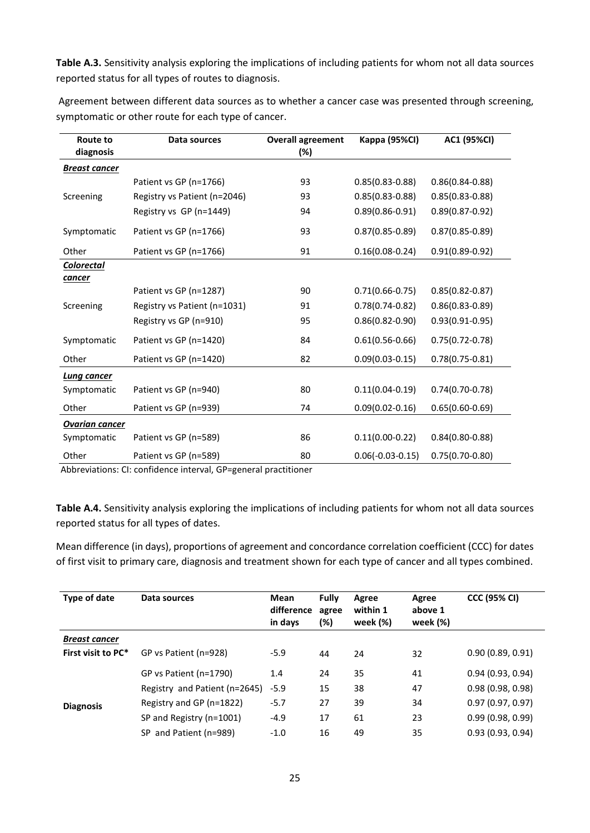**Table A.3.** Sensitivity analysis exploring the implications of including patients for whom not all data sources reported status for all types of routes to diagnosis.

| Route to<br>diagnosis | Data sources                 | <b>Overall agreement</b><br>(%) | Kappa (95%CI)       | AC1 (95%CI)         |
|-----------------------|------------------------------|---------------------------------|---------------------|---------------------|
| <b>Breast cancer</b>  |                              |                                 |                     |                     |
|                       | Patient vs GP (n=1766)       | 93                              | $0.85(0.83 - 0.88)$ | $0.86(0.84 - 0.88)$ |
| Screening             | Registry vs Patient (n=2046) | 93                              | $0.85(0.83 - 0.88)$ | $0.85(0.83 - 0.88)$ |
|                       | Registry vs GP (n=1449)      | 94                              | $0.89(0.86 - 0.91)$ | $0.89(0.87 - 0.92)$ |
| Symptomatic           | Patient vs GP (n=1766)       | 93                              | $0.87(0.85 - 0.89)$ | $0.87(0.85 - 0.89)$ |
| Other                 | Patient vs GP (n=1766)       | 91                              | $0.16(0.08 - 0.24)$ | $0.91(0.89 - 0.92)$ |
| <b>Colorectal</b>     |                              |                                 |                     |                     |
| <u>cancer</u>         |                              |                                 |                     |                     |
|                       | Patient vs GP (n=1287)       | 90                              | $0.71(0.66 - 0.75)$ | $0.85(0.82 - 0.87)$ |
| Screening             | Registry vs Patient (n=1031) | 91                              | $0.78(0.74-0.82)$   | $0.86(0.83 - 0.89)$ |
|                       | Registry vs GP (n=910)       | 95                              | $0.86(0.82 - 0.90)$ | $0.93(0.91 - 0.95)$ |
| Symptomatic           | Patient vs GP (n=1420)       | 84                              | $0.61(0.56 - 0.66)$ | $0.75(0.72 - 0.78)$ |
| Other                 | Patient vs GP (n=1420)       | 82                              | $0.09(0.03 - 0.15)$ | $0.78(0.75 - 0.81)$ |
| Lung cancer           |                              |                                 |                     |                     |
| Symptomatic           | Patient vs GP (n=940)        | 80                              | $0.11(0.04 - 0.19)$ | $0.74(0.70-0.78)$   |
| Other                 | Patient vs GP (n=939)        | 74                              | $0.09(0.02 - 0.16)$ | $0.65(0.60-0.69)$   |
| <b>Ovarian cancer</b> |                              |                                 |                     |                     |
| Symptomatic           | Patient vs GP (n=589)        | 86                              | $0.11(0.00-0.22)$   | $0.84(0.80 - 0.88)$ |
| Other                 | Patient vs GP (n=589)        | 80                              | $0.06(-0.03-0.15)$  | $0.75(0.70-0.80)$   |

Agreement between different data sources as to whether a cancer case was presented through screening, symptomatic or other route for each type of cancer.

Abbreviations: CI: confidence interval, GP=general practitioner

**Table A.4.** Sensitivity analysis exploring the implications of including patients for whom not all data sources reported status for all types of dates.

Mean difference (in days), proportions of agreement and concordance correlation coefficient (CCC) for dates of first visit to primary care, diagnosis and treatment shown for each type of cancer and all types combined.

| Type of date         | Data sources                  | Mean<br>difference<br>in days | <b>Fully</b><br>agree<br>(%) | Agree<br>within 1<br>week (%) | Agree<br>above 1<br>week (%) | <b>CCC (95% CI)</b> |
|----------------------|-------------------------------|-------------------------------|------------------------------|-------------------------------|------------------------------|---------------------|
| <b>Breast cancer</b> |                               |                               |                              |                               |                              |                     |
| First visit to PC*   | GP vs Patient (n=928)         | $-5.9$                        | 44                           | 24                            | 32                           | 0.90(0.89, 0.91)    |
|                      | GP vs Patient (n=1790)        | 1.4                           | 24                           | 35                            | 41                           | 0.94(0.93, 0.94)    |
|                      | Registry and Patient (n=2645) | $-5.9$                        | 15                           | 38                            | 47                           | 0.98(0.98, 0.98)    |
| <b>Diagnosis</b>     | Registry and GP (n=1822)      | $-5.7$                        | 27                           | 39                            | 34                           | 0.97(0.97, 0.97)    |
|                      | SP and Registry (n=1001)      | $-4.9$                        | 17                           | 61                            | 23                           | 0.99(0.98, 0.99)    |
|                      | SP and Patient (n=989)        | $-1.0$                        | 16                           | 49                            | 35                           | 0.93(0.93, 0.94)    |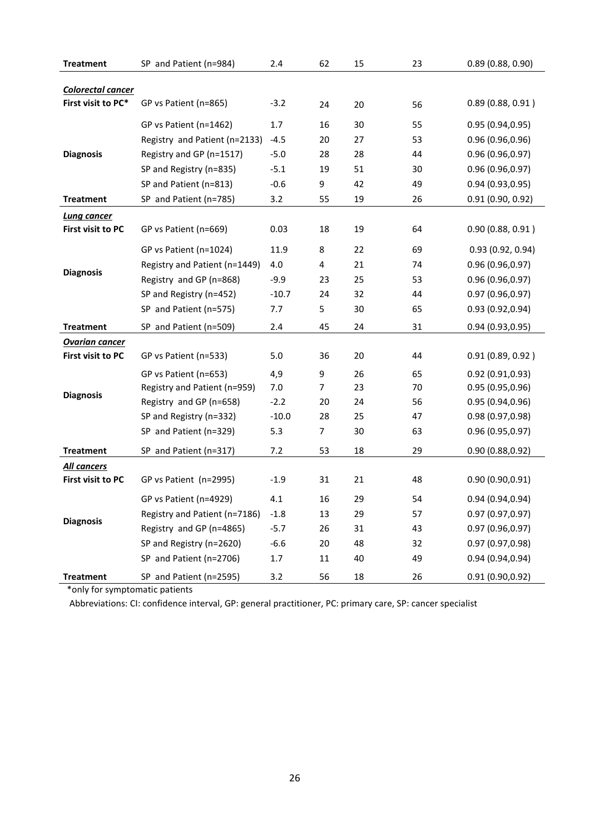| <b>Treatment</b>         | SP and Patient (n=984)        | 2.4     | 62 | 15 | 23 | 0.89(0.88, 0.90) |
|--------------------------|-------------------------------|---------|----|----|----|------------------|
|                          |                               |         |    |    |    |                  |
| Colorectal cancer        |                               |         |    |    |    |                  |
| First visit to PC*       | GP vs Patient (n=865)         | $-3.2$  | 24 | 20 | 56 | 0.89(0.88, 0.91) |
|                          | GP vs Patient (n=1462)        | 1.7     | 16 | 30 | 55 | 0.95(0.94, 0.95) |
|                          | Registry and Patient (n=2133) | $-4.5$  | 20 | 27 | 53 | 0.96(0.96, 0.96) |
| <b>Diagnosis</b>         | Registry and GP (n=1517)      | $-5.0$  | 28 | 28 | 44 | 0.96(0.96, 0.97) |
|                          | SP and Registry (n=835)       | $-5.1$  | 19 | 51 | 30 | 0.96(0.96, 0.97) |
|                          | SP and Patient (n=813)        | $-0.6$  | 9  | 42 | 49 | 0.94(0.93, 0.95) |
| <b>Treatment</b>         | SP and Patient (n=785)        | 3.2     | 55 | 19 | 26 | 0.91(0.90, 0.92) |
| <b>Lung cancer</b>       |                               |         |    |    |    |                  |
| First visit to PC        | GP vs Patient (n=669)         | 0.03    | 18 | 19 | 64 | 0.90(0.88, 0.91) |
|                          | GP vs Patient (n=1024)        | 11.9    | 8  | 22 | 69 | 0.93(0.92, 0.94) |
|                          | Registry and Patient (n=1449) | 4.0     | 4  | 21 | 74 | 0.96(0.96, 0.97) |
| <b>Diagnosis</b>         | Registry and GP (n=868)       | $-9.9$  | 23 | 25 | 53 | 0.96(0.96, 0.97) |
|                          | SP and Registry (n=452)       | $-10.7$ | 24 | 32 | 44 | 0.97(0.96, 0.97) |
|                          | SP and Patient (n=575)        | 7.7     | 5  | 30 | 65 | 0.93 (0.92,0.94) |
| <b>Treatment</b>         | SP and Patient (n=509)        | 2.4     | 45 | 24 | 31 | 0.94(0.93, 0.95) |
| <b>Ovarian cancer</b>    |                               |         |    |    |    |                  |
| First visit to PC        | GP vs Patient (n=533)         | 5.0     | 36 | 20 | 44 | 0.91(0.89, 0.92) |
|                          | GP vs Patient (n=653)         | 4,9     | 9  | 26 | 65 | 0.92(0.91, 0.93) |
|                          | Registry and Patient (n=959)  | 7.0     | 7  | 23 | 70 | 0.95(0.95, 0.96) |
| <b>Diagnosis</b>         | Registry and GP (n=658)       | $-2.2$  | 20 | 24 | 56 | 0.95(0.94, 0.96) |
|                          | SP and Registry (n=332)       | $-10.0$ | 28 | 25 | 47 | 0.98(0.97, 0.98) |
|                          | SP and Patient (n=329)        | 5.3     | 7  | 30 | 63 | 0.96(0.95, 0.97) |
| <b>Treatment</b>         | SP and Patient (n=317)        | 7.2     | 53 | 18 | 29 | 0.90(0.88, 0.92) |
| <b>All cancers</b>       |                               |         |    |    |    |                  |
| <b>First visit to PC</b> | GP vs Patient (n=2995)        | $-1.9$  | 31 | 21 | 48 | 0.90 (0.90,0.91) |
| <b>Diagnosis</b>         | GP vs Patient (n=4929)        | 4.1     | 16 | 29 | 54 | 0.94(0.94, 0.94) |
|                          | Registry and Patient (n=7186) | $-1.8$  | 13 | 29 | 57 | 0.97(0.97, 0.97) |
|                          | Registry and GP (n=4865)      | $-5.7$  | 26 | 31 | 43 | 0.97 (0.96,0.97) |
|                          | SP and Registry (n=2620)      | $-6.6$  | 20 | 48 | 32 | 0.97 (0.97,0.98) |
|                          | SP and Patient (n=2706)       | $1.7\,$ | 11 | 40 | 49 | 0.94 (0.94,0.94) |
| <b>Treatment</b>         | SP and Patient (n=2595)       | 3.2     | 56 | 18 | 26 | 0.91 (0.90,0.92) |

\*only for symptomatic patients

Abbreviations: CI: confidence interval, GP: general practitioner, PC: primary care, SP: cancer specialist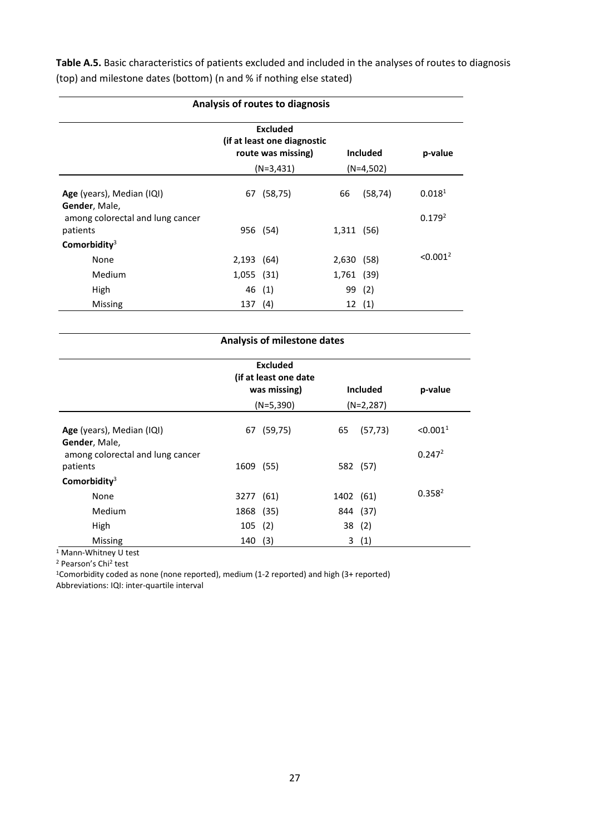**Table A.5.** Basic characteristics of patients excluded and included in the analyses of routes to diagnosis (top) and milestone dates (bottom) (n and % if nothing else stated)

| Analysis of routes to diagnosis              |                                                                      |                 |            |             |                      |  |
|----------------------------------------------|----------------------------------------------------------------------|-----------------|------------|-------------|----------------------|--|
|                                              | <b>Excluded</b><br>(if at least one diagnostic<br>route was missing) | <b>Included</b> | p-value    |             |                      |  |
|                                              |                                                                      | $(N=3,431)$     |            | $(N=4,502)$ |                      |  |
| Age (years), Median (IQI)<br>Gender, Male,   | 67                                                                   | (58, 75)        | 66         | (58, 74)    | 0.018 <sup>1</sup>   |  |
| among colorectal and lung cancer<br>patients |                                                                      | 956 (54)        | 1,311 (56) |             | 0.179 <sup>2</sup>   |  |
| Comorbidity $3$                              |                                                                      |                 |            |             |                      |  |
| None                                         | $2,193$ (64)                                                         |                 | 2,630 (58) |             | < 0.001 <sup>2</sup> |  |
| Medium                                       | 1,055 (31)                                                           |                 | 1,761 (39) |             |                      |  |
| High                                         |                                                                      | 46 (1)          | 99         | (2)         |                      |  |
| Missing                                      | 137                                                                  | (4)             |            | 12(1)       |                      |  |

|                                                   |           | <b>Excluded</b><br>(if at least one date<br>was missing)<br>$(N=5,390)$ | <b>Included</b><br>$(N=2,287)$ |          | p-value              |
|---------------------------------------------------|-----------|-------------------------------------------------------------------------|--------------------------------|----------|----------------------|
| Age (years), Median (IQI)                         | 67        | (59, 75)                                                                | 65                             | (57, 73) | < 0.001 <sup>1</sup> |
| Gender, Male,<br>among colorectal and lung cancer |           |                                                                         |                                |          | 0.247 <sup>2</sup>   |
| patients                                          | 1609 (55) |                                                                         |                                | 582 (57) |                      |
| Comorbidity $3$                                   |           |                                                                         |                                |          |                      |
| None                                              | 3277      | (61)                                                                    | 1402 (61)                      |          | 0.358 <sup>2</sup>   |
| <b>Medium</b>                                     | 1868 (35) |                                                                         |                                | 844 (37) |                      |
| High                                              | 105       | (2)                                                                     | 38                             | (2)      |                      |
| Missing                                           | 140       | (3)                                                                     | 3                              | (1)      |                      |

<sup>1</sup> Mann-Whitney U test

<sup>2</sup> Pearson's Chi2 test

1Comorbidity coded as none (none reported), medium (1-2 reported) and high (3+ reported)

Abbreviations: IQI: inter-quartile interval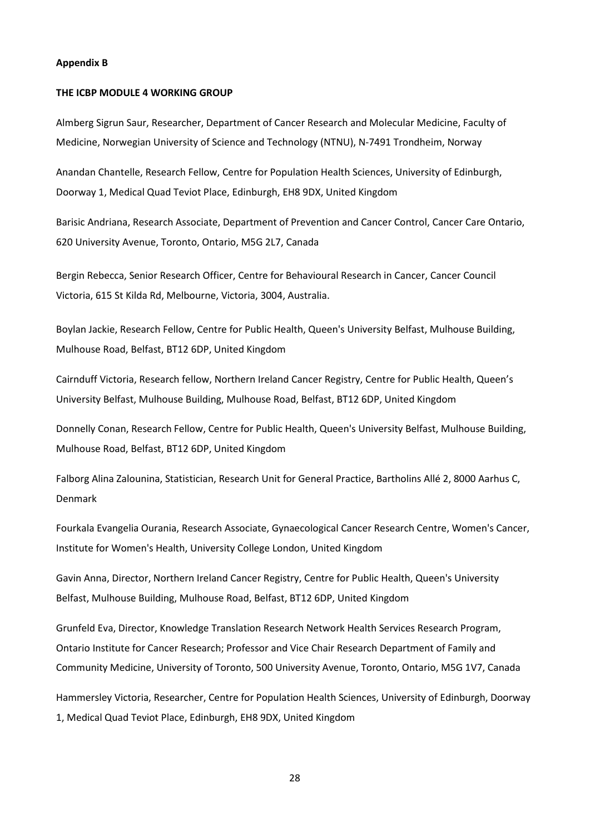### **Appendix B**

### **THE ICBP MODULE 4 WORKING GROUP**

Almberg Sigrun Saur, Researcher, Department of Cancer Research and Molecular Medicine, Faculty of Medicine, Norwegian University of Science and Technology (NTNU), N-7491 Trondheim, Norway

Anandan Chantelle, Research Fellow, Centre for Population Health Sciences, University of Edinburgh, Doorway 1, Medical Quad Teviot Place, Edinburgh, EH8 9DX, United Kingdom

Barisic Andriana, Research Associate, Department of Prevention and Cancer Control, Cancer Care Ontario, 620 University Avenue, Toronto, Ontario, M5G 2L7, Canada

Bergin Rebecca, Senior Research Officer, Centre for Behavioural Research in Cancer, Cancer Council Victoria, 615 St Kilda Rd, Melbourne, Victoria, 3004, Australia.

Boylan Jackie, Research Fellow, Centre for Public Health, Queen's University Belfast, Mulhouse Building, Mulhouse Road, Belfast, BT12 6DP, United Kingdom

Cairnduff Victoria, Research fellow, Northern Ireland Cancer Registry, Centre for Public Health, Queen's University Belfast, Mulhouse Building, Mulhouse Road, Belfast, BT12 6DP, United Kingdom

Donnelly Conan, Research Fellow, Centre for Public Health, Queen's University Belfast, Mulhouse Building, Mulhouse Road, Belfast, BT12 6DP, United Kingdom

Falborg Alina Zalounina, Statistician, Research Unit for General Practice, Bartholins Allé 2, 8000 Aarhus C, Denmark

Fourkala Evangelia Ourania, Research Associate, Gynaecological Cancer Research Centre, Women's Cancer, Institute for Women's Health, University College London, United Kingdom

Gavin Anna, Director, Northern Ireland Cancer Registry, Centre for Public Health, Queen's University Belfast, Mulhouse Building, Mulhouse Road, Belfast, BT12 6DP, United Kingdom

Grunfeld Eva, Director, Knowledge Translation Research Network Health Services Research Program, Ontario Institute for Cancer Research; Professor and Vice Chair Research Department of Family and Community Medicine, University of Toronto, 500 University Avenue, Toronto, Ontario, M5G 1V7, Canada

Hammersley Victoria, Researcher, Centre for Population Health Sciences, University of Edinburgh, Doorway 1, Medical Quad Teviot Place, Edinburgh, EH8 9DX, United Kingdom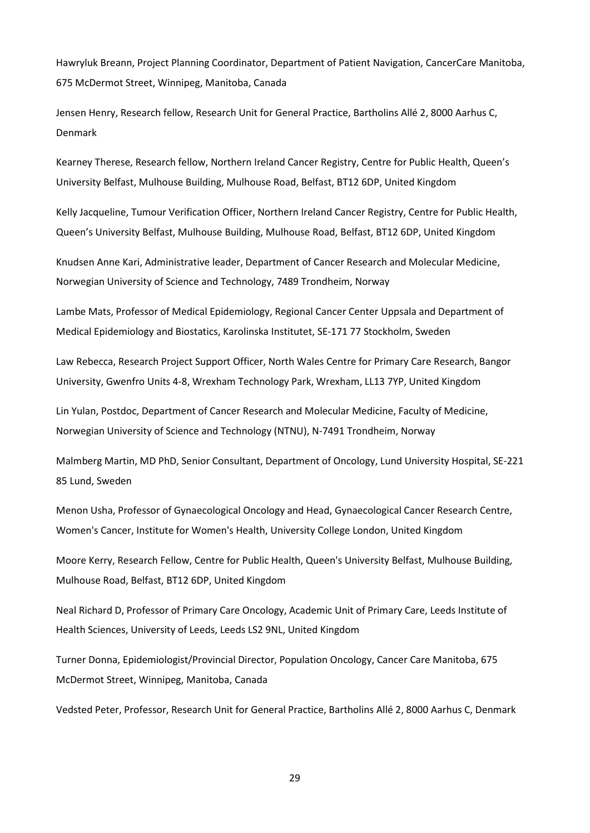Hawryluk Breann, Project Planning Coordinator, Department of Patient Navigation, CancerCare Manitoba, 675 McDermot Street, Winnipeg, Manitoba, Canada

Jensen Henry, Research fellow, Research Unit for General Practice, Bartholins Allé 2, 8000 Aarhus C, Denmark

Kearney Therese, Research fellow, Northern Ireland Cancer Registry, Centre for Public Health, Queen's University Belfast, Mulhouse Building, Mulhouse Road, Belfast, BT12 6DP, United Kingdom

Kelly Jacqueline, Tumour Verification Officer, Northern Ireland Cancer Registry, Centre for Public Health, Queen's University Belfast, Mulhouse Building, Mulhouse Road, Belfast, BT12 6DP, United Kingdom

Knudsen Anne Kari, Administrative leader, Department of Cancer Research and Molecular Medicine, Norwegian University of Science and Technology, 7489 Trondheim, Norway

Lambe Mats, Professor of Medical Epidemiology, Regional Cancer Center Uppsala and Department of Medical Epidemiology and Biostatics, Karolinska Institutet, SE-171 77 Stockholm, Sweden

Law Rebecca, Research Project Support Officer, North Wales Centre for Primary Care Research, Bangor University, Gwenfro Units 4-8, Wrexham Technology Park, Wrexham, LL13 7YP, United Kingdom

Lin Yulan, Postdoc, Department of Cancer Research and Molecular Medicine, Faculty of Medicine, Norwegian University of Science and Technology (NTNU), N-7491 Trondheim, Norway

Malmberg Martin, MD PhD, Senior Consultant, Department of Oncology, Lund University Hospital, SE-221 85 Lund, Sweden

Menon Usha, Professor of Gynaecological Oncology and Head, Gynaecological Cancer Research Centre, Women's Cancer, Institute for Women's Health, University College London, United Kingdom

Moore Kerry, Research Fellow, Centre for Public Health, Queen's University Belfast, Mulhouse Building, Mulhouse Road, Belfast, BT12 6DP, United Kingdom

Neal Richard D, Professor of Primary Care Oncology, Academic Unit of Primary Care, Leeds Institute of Health Sciences, University of Leeds, Leeds LS2 9NL, United Kingdom

Turner Donna, Epidemiologist/Provincial Director, Population Oncology, Cancer Care Manitoba, 675 McDermot Street, Winnipeg, Manitoba, Canada

Vedsted Peter, Professor, Research Unit for General Practice, Bartholins Allé 2, 8000 Aarhus C, Denmark